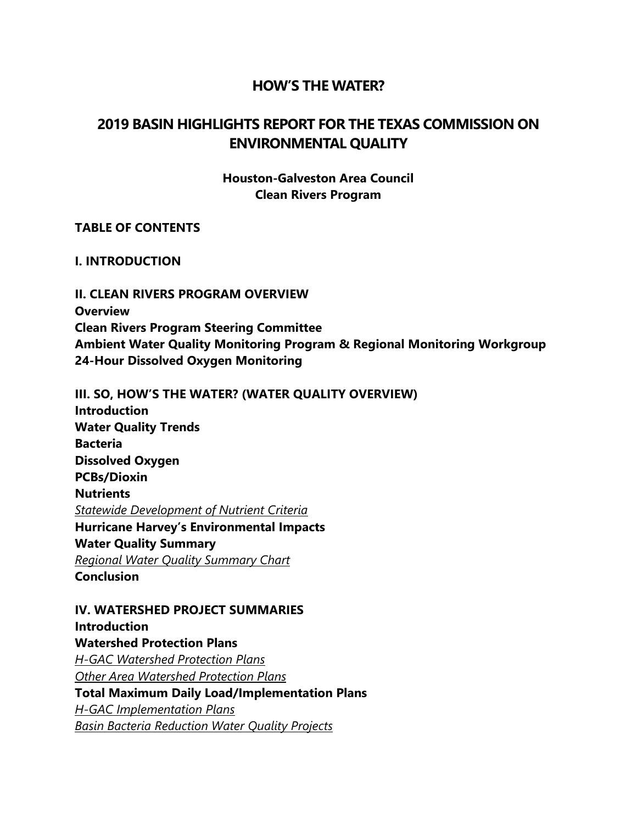#### **HOW'S THE WATER?**

# **2019 BASIN HIGHLIGHTS REPORT FOR THE TEXAS COMMISSION ON ENVIRONMENTAL QUALITY**

#### **Houston-Galveston Area Council Clean Rivers Program**

#### **TABLE OF CONTENTS**

#### **I. INTRODUCTION**

**II. CLEAN RIVERS PROGRAM OVERVIEW Overview Clean Rivers Program Steering Committee Ambient Water Quality Monitoring Program & Regional Monitoring Workgroup 24-Hour Dissolved Oxygen Monitoring**

**III. SO, HOW'S THE WATER? (WATER QUALITY OVERVIEW) Introduction Water Quality Trends Bacteria Dissolved Oxygen PCBs/Dioxin Nutrients** *Statewide Development of Nutrient Criteria* **Hurricane Harvey's Environmental Impacts Water Quality Summary** *Regional Water Quality Summary Chart* **Conclusion**

**IV. WATERSHED PROJECT SUMMARIES Introduction Watershed Protection Plans** *H-GAC Watershed Protection Plans Other Area Watershed Protection Plans*  **Total Maximum Daily Load/Implementation Plans**  *H-GAC Implementation Plans Basin Bacteria Reduction Water Quality Projects*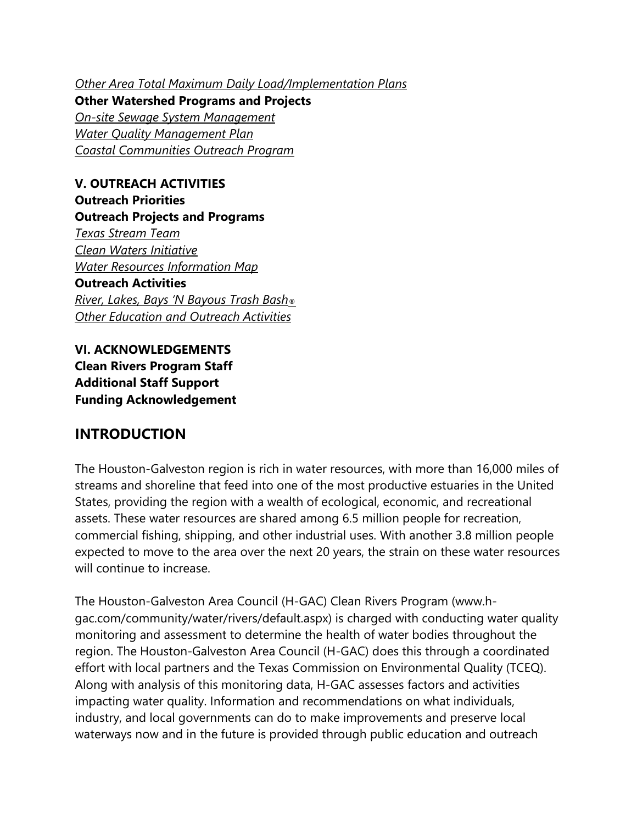*Other Area Total Maximum Daily Load/Implementation Plans* 

**Other Watershed Programs and Projects** *On-site Sewage System Management Water Quality Management Plan Coastal Communities Outreach Program*

**V. OUTREACH ACTIVITIES Outreach Priorities Outreach Projects and Programs** *Texas Stream Team Clean Waters Initiative Water Resources Information Map* **Outreach Activities** *River, Lakes, Bays 'N Bayous Trash Bash® Other Education and Outreach Activities*

**VI. ACKNOWLEDGEMENTS Clean Rivers Program Staff Additional Staff Support Funding Acknowledgement**

# **INTRODUCTION**

The Houston-Galveston region is rich in water resources, with more than 16,000 miles of streams and shoreline that feed into one of the most productive estuaries in the United States, providing the region with a wealth of ecological, economic, and recreational assets. These water resources are shared among 6.5 million people for recreation, commercial fishing, shipping, and other industrial uses. With another 3.8 million people expected to move to the area over the next 20 years, the strain on these water resources will continue to increase.

The Houston-Galveston Area Council (H-GAC) Clean Rivers Program (www.hgac.com/community/water/rivers/default.aspx) is charged with conducting water quality monitoring and assessment to determine the health of water bodies throughout the region. The Houston-Galveston Area Council (H-GAC) does this through a coordinated effort with local partners and the Texas Commission on Environmental Quality (TCEQ). Along with analysis of this monitoring data, H-GAC assesses factors and activities impacting water quality. Information and recommendations on what individuals, industry, and local governments can do to make improvements and preserve local waterways now and in the future is provided through public education and outreach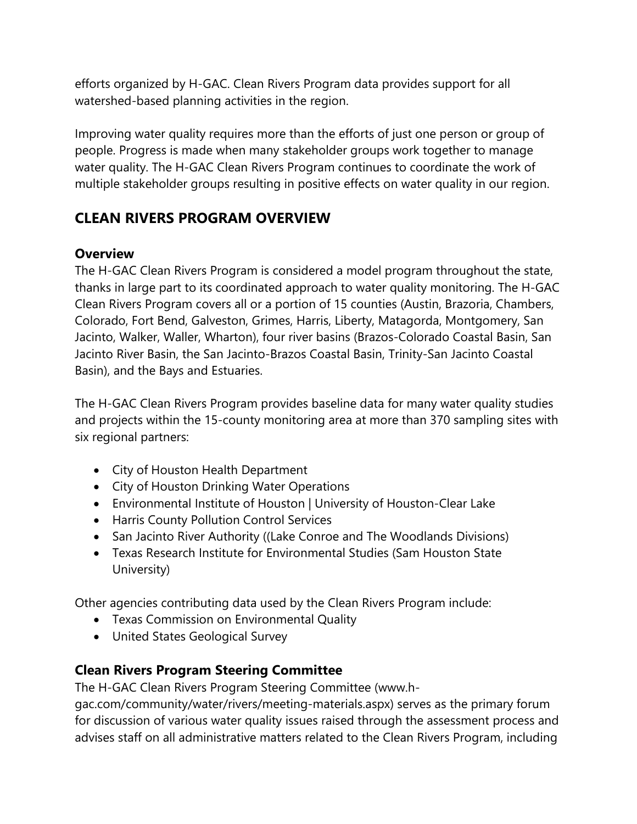efforts organized by H-GAC. Clean Rivers Program data provides support for all watershed-based planning activities in the region.

Improving water quality requires more than the efforts of just one person or group of people. Progress is made when many stakeholder groups work together to manage water quality. The H-GAC Clean Rivers Program continues to coordinate the work of multiple stakeholder groups resulting in positive effects on water quality in our region.

# **CLEAN RIVERS PROGRAM OVERVIEW**

# **Overview**

The H-GAC Clean Rivers Program is considered a model program throughout the state, thanks in large part to its coordinated approach to water quality monitoring. The H-GAC Clean Rivers Program covers all or a portion of 15 counties (Austin, Brazoria, Chambers, Colorado, Fort Bend, Galveston, Grimes, Harris, Liberty, Matagorda, Montgomery, San Jacinto, Walker, Waller, Wharton), four river basins (Brazos-Colorado Coastal Basin, San Jacinto River Basin, the San Jacinto-Brazos Coastal Basin, Trinity-San Jacinto Coastal Basin), and the Bays and Estuaries.

The H-GAC Clean Rivers Program provides baseline data for many water quality studies and projects within the 15-county monitoring area at more than 370 sampling sites with six regional partners:

- City of Houston Health Department
- City of Houston Drinking Water Operations
- Environmental Institute of Houston | University of Houston-Clear Lake
- Harris County Pollution Control Services
- San Jacinto River Authority ((Lake Conroe and The Woodlands Divisions)
- Texas Research Institute for Environmental Studies (Sam Houston State University)

Other agencies contributing data used by the Clean Rivers Program include:

- Texas Commission on Environmental Quality
- United States Geological Survey

# **Clean Rivers Program Steering Committee**

The H-GAC Clean Rivers Program Steering Committee (www.h-

gac.com/community/water/rivers/meeting-materials.aspx) serves as the primary forum for discussion of various water quality issues raised through the assessment process and advises staff on all administrative matters related to the Clean Rivers Program, including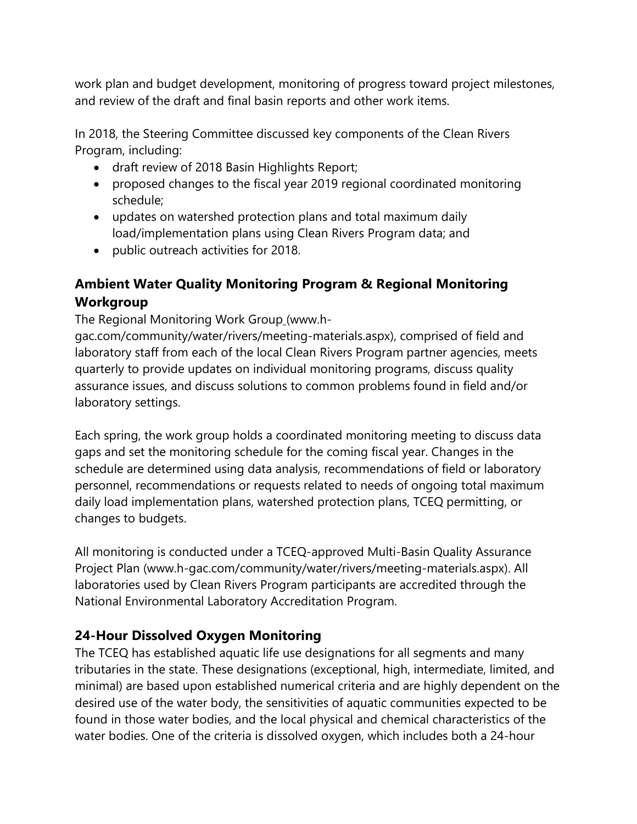work plan and budget development, monitoring of progress toward project milestones, and review of the draft and final basin reports and other work items.

In 2018, the Steering Committee discussed key components of the Clean Rivers Program, including:

- draft review of 2018 Basin Highlights Report;
- proposed changes to the fiscal year 2019 regional coordinated monitoring schedule;
- updates on watershed protection plans and total maximum daily load/implementation plans using Clean Rivers Program data; and
- public outreach activities for 2018.

# **Ambient Water Quality Monitoring Program & Regional Monitoring Workgroup**

The Regional Monitoring Work Group (www.h-

gac.com/community/water/rivers/meeting-materials.aspx), comprised of field and laboratory staff from each of the local Clean Rivers Program partner agencies, meets quarterly to provide updates on individual monitoring programs, discuss quality assurance issues, and discuss solutions to common problems found in field and/or laboratory settings.

Each spring, the work group holds a coordinated monitoring meeting to discuss data gaps and set the monitoring schedule for the coming fiscal year. Changes in the schedule are determined using data analysis, recommendations of field or laboratory personnel, recommendations or requests related to needs of ongoing total maximum daily load implementation plans, watershed protection plans, TCEQ permitting, or changes to budgets.

All monitoring is conducted under a TCEQ-approved Multi-Basin Quality Assurance Project Plan (www.h-gac.com/community/water/rivers/meeting-materials.aspx). All laboratories used by Clean Rivers Program participants are accredited through the National Environmental Laboratory Accreditation Program.

# **24-Hour Dissolved Oxygen Monitoring**

The TCEQ has established aquatic life use designations for all segments and many tributaries in the state. These designations (exceptional, high, intermediate, limited, and minimal) are based upon established numerical criteria and are highly dependent on the desired use of the water body, the sensitivities of aquatic communities expected to be found in those water bodies, and the local physical and chemical characteristics of the water bodies. One of the criteria is dissolved oxygen, which includes both a 24-hour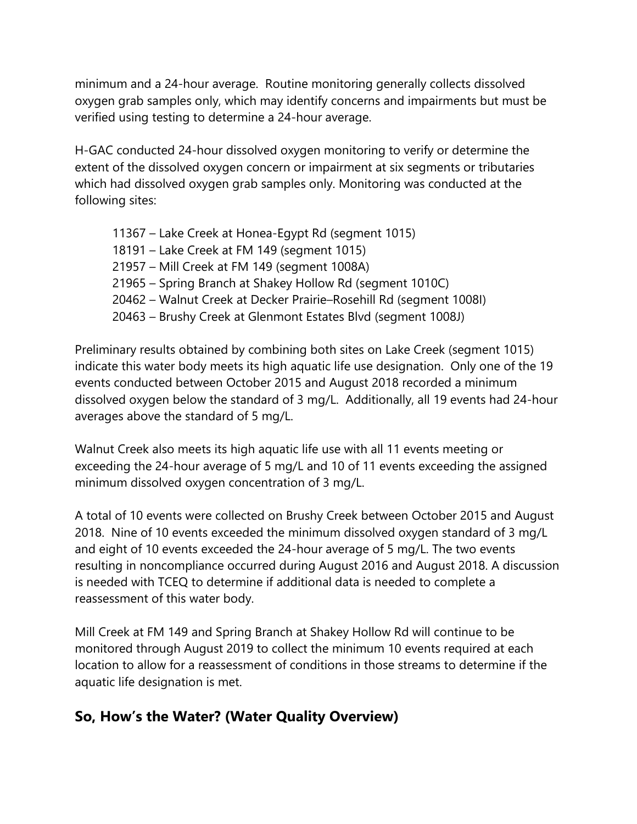minimum and a 24-hour average. Routine monitoring generally collects dissolved oxygen grab samples only, which may identify concerns and impairments but must be verified using testing to determine a 24-hour average.

H-GAC conducted 24-hour dissolved oxygen monitoring to verify or determine the extent of the dissolved oxygen concern or impairment at six segments or tributaries which had dissolved oxygen grab samples only. Monitoring was conducted at the following sites:

11367 – Lake Creek at Honea-Egypt Rd (segment 1015) 18191 – Lake Creek at FM 149 (segment 1015) 21957 – Mill Creek at FM 149 (segment 1008A) 21965 – Spring Branch at Shakey Hollow Rd (segment 1010C) 20462 – Walnut Creek at Decker Prairie–Rosehill Rd (segment 1008I) 20463 – Brushy Creek at Glenmont Estates Blvd (segment 1008J)

Preliminary results obtained by combining both sites on Lake Creek (segment 1015) indicate this water body meets its high aquatic life use designation. Only one of the 19 events conducted between October 2015 and August 2018 recorded a minimum dissolved oxygen below the standard of 3 mg/L. Additionally, all 19 events had 24-hour averages above the standard of 5 mg/L.

Walnut Creek also meets its high aquatic life use with all 11 events meeting or exceeding the 24-hour average of 5 mg/L and 10 of 11 events exceeding the assigned minimum dissolved oxygen concentration of 3 mg/L.

A total of 10 events were collected on Brushy Creek between October 2015 and August 2018. Nine of 10 events exceeded the minimum dissolved oxygen standard of 3 mg/L and eight of 10 events exceeded the 24-hour average of 5 mg/L. The two events resulting in noncompliance occurred during August 2016 and August 2018. A discussion is needed with TCEQ to determine if additional data is needed to complete a reassessment of this water body.

Mill Creek at FM 149 and Spring Branch at Shakey Hollow Rd will continue to be monitored through August 2019 to collect the minimum 10 events required at each location to allow for a reassessment of conditions in those streams to determine if the aquatic life designation is met.

# **So, How's the Water? (Water Quality Overview)**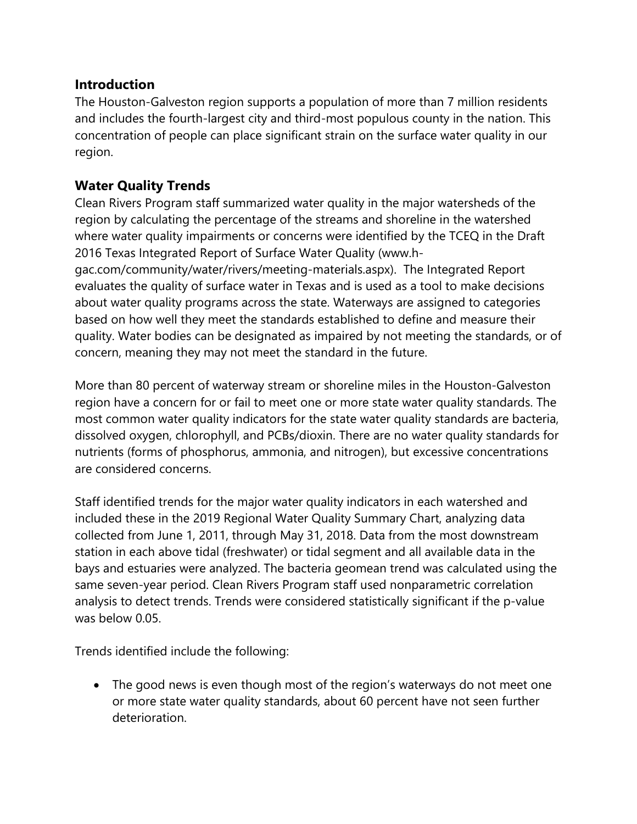## **Introduction**

The Houston-Galveston region supports a population of more than 7 million residents and includes the fourth-largest city and third-most populous county in the nation. This concentration of people can place significant strain on the surface water quality in our region.

# **Water Quality Trends**

Clean Rivers Program staff summarized water quality in the major watersheds of the region by calculating the percentage of the streams and shoreline in the watershed where water quality impairments or concerns were identified by the TCEQ in the Draft 2016 Texas Integrated Report of Surface Water Quality (www.hgac.com/community/water/rivers/meeting-materials.aspx). The Integrated Report evaluates the quality of surface water in Texas and is used as a tool to make decisions about water quality programs across the state. Waterways are assigned to categories based on how well they meet the standards established to define and measure their quality. Water bodies can be designated as impaired by not meeting the standards, or of concern, meaning they may not meet the standard in the future.

More than 80 percent of waterway stream or shoreline miles in the Houston-Galveston region have a concern for or fail to meet one or more state water quality standards. The most common water quality indicators for the state water quality standards are bacteria, dissolved oxygen, chlorophyll, and PCBs/dioxin. There are no water quality standards for nutrients (forms of phosphorus, ammonia, and nitrogen), but excessive concentrations are considered concerns.

Staff identified trends for the major water quality indicators in each watershed and included these in the 2019 Regional Water Quality Summary Chart, analyzing data collected from June 1, 2011, through May 31, 2018. Data from the most downstream station in each above tidal (freshwater) or tidal segment and all available data in the bays and estuaries were analyzed. The bacteria geomean trend was calculated using the same seven-year period. Clean Rivers Program staff used nonparametric correlation analysis to detect trends. Trends were considered statistically significant if the p-value was below 0.05.

Trends identified include the following:

• The good news is even though most of the region's waterways do not meet one or more state water quality standards, about 60 percent have not seen further deterioration.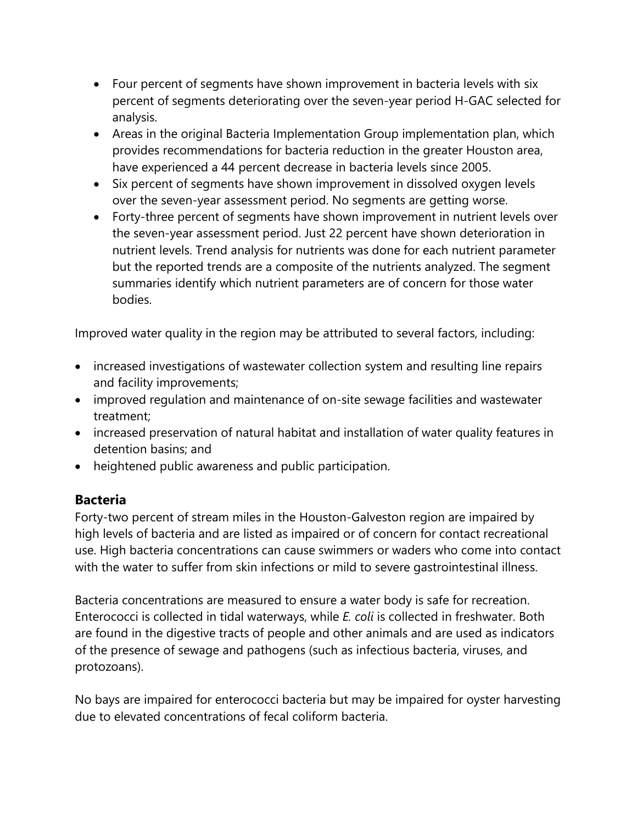- Four percent of segments have shown improvement in bacteria levels with six percent of segments deteriorating over the seven-year period H-GAC selected for analysis.
- Areas in the original Bacteria Implementation Group implementation plan, which provides recommendations for bacteria reduction in the greater Houston area, have experienced a 44 percent decrease in bacteria levels since 2005.
- Six percent of segments have shown improvement in dissolved oxygen levels over the seven-year assessment period. No segments are getting worse.
- Forty-three percent of segments have shown improvement in nutrient levels over the seven-year assessment period. Just 22 percent have shown deterioration in nutrient levels. Trend analysis for nutrients was done for each nutrient parameter but the reported trends are a composite of the nutrients analyzed. The segment summaries identify which nutrient parameters are of concern for those water bodies.

Improved water quality in the region may be attributed to several factors, including:

- increased investigations of wastewater collection system and resulting line repairs and facility improvements;
- improved regulation and maintenance of on-site sewage facilities and wastewater treatment;
- increased preservation of natural habitat and installation of water quality features in detention basins; and
- heightened public awareness and public participation.

# **Bacteria**

Forty-two percent of stream miles in the Houston-Galveston region are impaired by high levels of bacteria and are listed as impaired or of concern for contact recreational use. High bacteria concentrations can cause swimmers or waders who come into contact with the water to suffer from skin infections or mild to severe gastrointestinal illness.

Bacteria concentrations are measured to ensure a water body is safe for recreation. Enterococci is collected in tidal waterways, while *E. coli* is collected in freshwater. Both are found in the digestive tracts of people and other animals and are used as indicators of the presence of sewage and pathogens (such as infectious bacteria, viruses, and protozoans).

No bays are impaired for enterococci bacteria but may be impaired for oyster harvesting due to elevated concentrations of fecal coliform bacteria.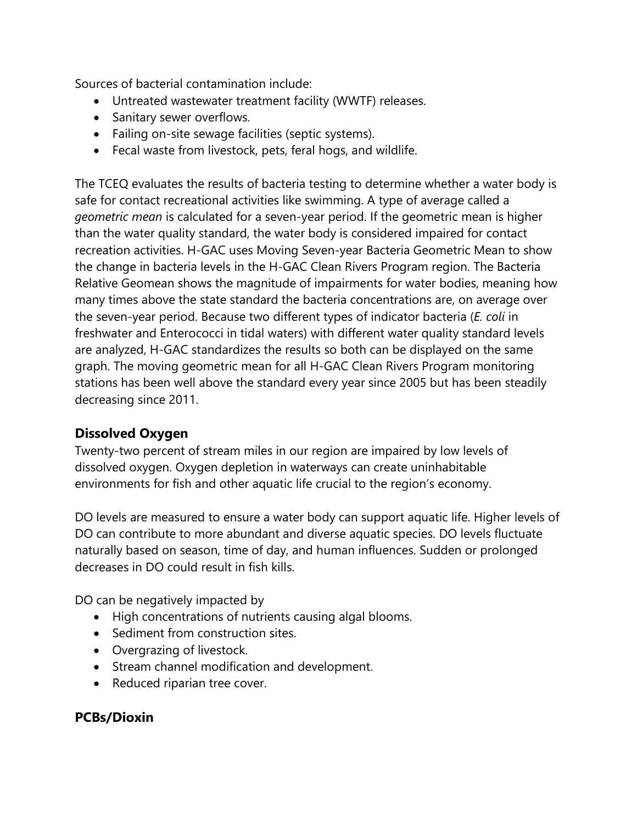Sources of bacterial contamination include:

- Untreated wastewater treatment facility (WWTF) releases.
- Sanitary sewer overflows.
- Failing on-site sewage facilities (septic systems).
- Fecal waste from livestock, pets, feral hogs, and wildlife.

The TCEQ evaluates the results of bacteria testing to determine whether a water body is safe for contact recreational activities like swimming. A type of average called a *geometric mean* is calculated for a seven-year period. If the geometric mean is higher than the water quality standard, the water body is considered impaired for contact recreation activities. H-GAC uses Moving Seven-year Bacteria Geometric Mean to show the change in bacteria levels in the H-GAC Clean Rivers Program region. The Bacteria Relative Geomean shows the magnitude of impairments for water bodies, meaning how many times above the state standard the bacteria concentrations are, on average over the seven-year period. Because two different types of indicator bacteria (*E. coli* in freshwater and Enterococci in tidal waters) with different water quality standard levels are analyzed, H-GAC standardizes the results so both can be displayed on the same graph. The moving geometric mean for all H-GAC Clean Rivers Program monitoring stations has been well above the standard every year since 2005 but has been steadily decreasing since 2011.

## **Dissolved Oxygen**

Twenty-two percent of stream miles in our region are impaired by low levels of dissolved oxygen. Oxygen depletion in waterways can create uninhabitable environments for fish and other aquatic life crucial to the region's economy.

DO levels are measured to ensure a water body can support aquatic life. Higher levels of DO can contribute to more abundant and diverse aquatic species. DO levels fluctuate naturally based on season, time of day, and human influences. Sudden or prolonged decreases in DO could result in fish kills.

DO can be negatively impacted by

- High concentrations of nutrients causing algal blooms.
- Sediment from construction sites.
- Overgrazing of livestock.
- Stream channel modification and development.
- Reduced riparian tree cover.

# **PCBs/Dioxin**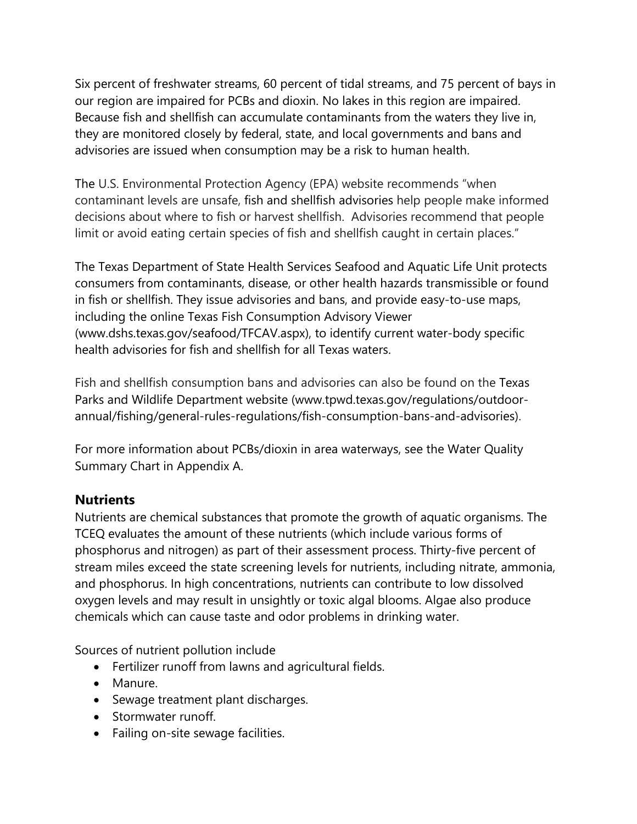Six percent of freshwater streams, 60 percent of tidal streams, and 75 percent of bays in our region are impaired for PCBs and dioxin. No lakes in this region are impaired. Because fish and shellfish can accumulate contaminants from the waters they live in, they are monitored closely by federal, state, and local governments and bans and advisories are issued when consumption may be a risk to human health.

The U.S. Environmental Protection Agency (EPA) website recommends "when contaminant levels are unsafe, fish and shellfish advisories help people make informed decisions about where to fish or harvest shellfish. Advisories recommend that people limit or avoid eating certain species of fish and shellfish caught in certain places."

The Texas Department of State Health Services Seafood and Aquatic Life Unit protects consumers from contaminants, disease, or other health hazards transmissible or found in fish or shellfish. They issue advisories and bans, and provide easy-to-use maps, including the online Texas Fish Consumption Advisory Viewer (www.dshs.texas.gov/seafood/TFCAV.aspx), to identify current water-body specific health advisories for fish and shellfish for all Texas waters.

Fish and shellfish consumption bans and advisories can also be found on the Texas Parks and Wildlife Department website (www.tpwd.texas.gov/regulations/outdoorannual/fishing/general-rules-regulations/fish-consumption-bans-and-advisories).

For more information about PCBs/dioxin in area waterways, see the Water Quality Summary Chart in Appendix A.

## **Nutrients**

Nutrients are chemical substances that promote the growth of aquatic organisms. The TCEQ evaluates the amount of these nutrients (which include various forms of phosphorus and nitrogen) as part of their assessment process. Thirty-five percent of stream miles exceed the state screening levels for nutrients, including nitrate, ammonia, and phosphorus. In high concentrations, nutrients can contribute to low dissolved oxygen levels and may result in unsightly or toxic algal blooms. Algae also produce chemicals which can cause taste and odor problems in drinking water.

Sources of nutrient pollution include

- Fertilizer runoff from lawns and agricultural fields.
- Manure.
- Sewage treatment plant discharges.
- Stormwater runoff.
- Failing on-site sewage facilities.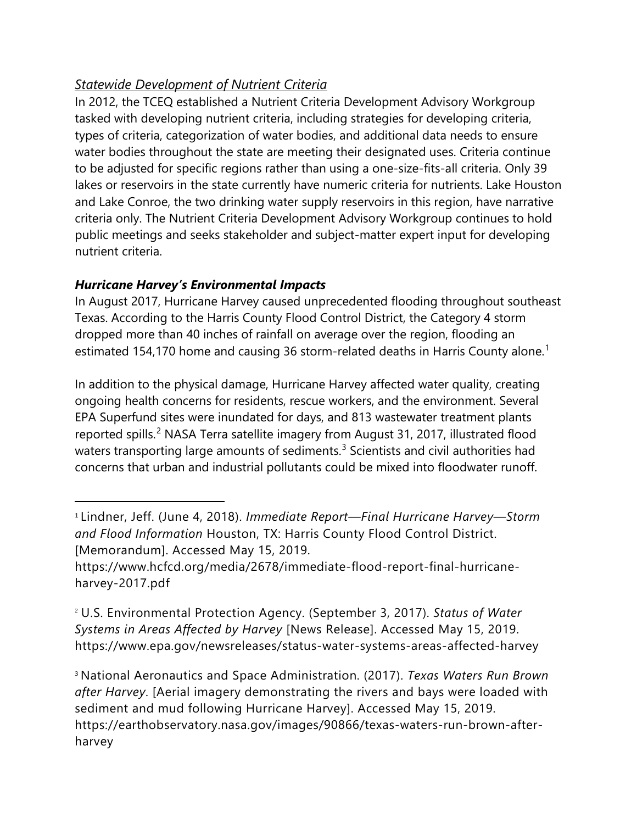# *Statewide Development of Nutrient Criteria*

In 2012, the TCEQ established a Nutrient Criteria Development Advisory Workgroup tasked with developing nutrient criteria, including strategies for developing criteria, types of criteria, categorization of water bodies, and additional data needs to ensure water bodies throughout the state are meeting their designated uses. Criteria continue to be adjusted for specific regions rather than using a one-size-fits-all criteria. Only 39 lakes or reservoirs in the state currently have numeric criteria for nutrients. Lake Houston and Lake Conroe, the two drinking water supply reservoirs in this region, have narrative criteria only. The Nutrient Criteria Development Advisory Workgroup continues to hold public meetings and seeks stakeholder and subject-matter expert input for developing nutrient criteria.

## *Hurricane Harvey's Environmental Impacts*

 $\overline{a}$ 

In August 2017, Hurricane Harvey caused unprecedented flooding throughout southeast Texas. According to the Harris County Flood Control District, the Category 4 storm dropped more than 40 inches of rainfall on average over the region, flooding an estimated [1](#page-9-0)54,170 home and causing 36 storm-related deaths in Harris County alone.<sup>1</sup>

In addition to the physical damage, Hurricane Harvey affected water quality, creating ongoing health concerns for residents, rescue workers, and the environment. Several EPA Superfund sites were inundated for days, and 813 wastewater treatment plants reported spills.<sup>[2](#page-9-1)</sup> NASA Terra satellite imagery from August 31, 2017, illustrated flood waters transporting large amounts of sediments.<sup>[3](#page-9-2)</sup> Scientists and civil authorities had concerns that urban and industrial pollutants could be mixed into floodwater runoff.

<span id="page-9-2"></span><sup>3</sup> National Aeronautics and Space Administration. (2017). *Texas Waters Run Brown after Harvey*. [Aerial imagery demonstrating the rivers and bays were loaded with sediment and mud following Hurricane Harvey]. Accessed May 15, 2019. https://earthobservatory.nasa.gov/images/90866/texas-waters-run-brown-afterharvey

<span id="page-9-0"></span><sup>1</sup> Lindner, Jeff. (June 4, 2018). *Immediate Report—Final Hurricane Harvey—Storm and Flood Information* Houston, TX: Harris County Flood Control District. [Memorandum]. Accessed May 15, 2019.

https://www.hcfcd.org/media/2678/immediate-flood-report-final-hurricaneharvey-2017.pdf

<span id="page-9-1"></span><sup>2</sup> U.S. Environmental Protection Agency. (September 3, 2017). *Status of Water Systems in Areas Affected by Harvey* [News Release]. Accessed May 15, 2019. https://www.epa.gov/newsreleases/status-water-systems-areas-affected-harvey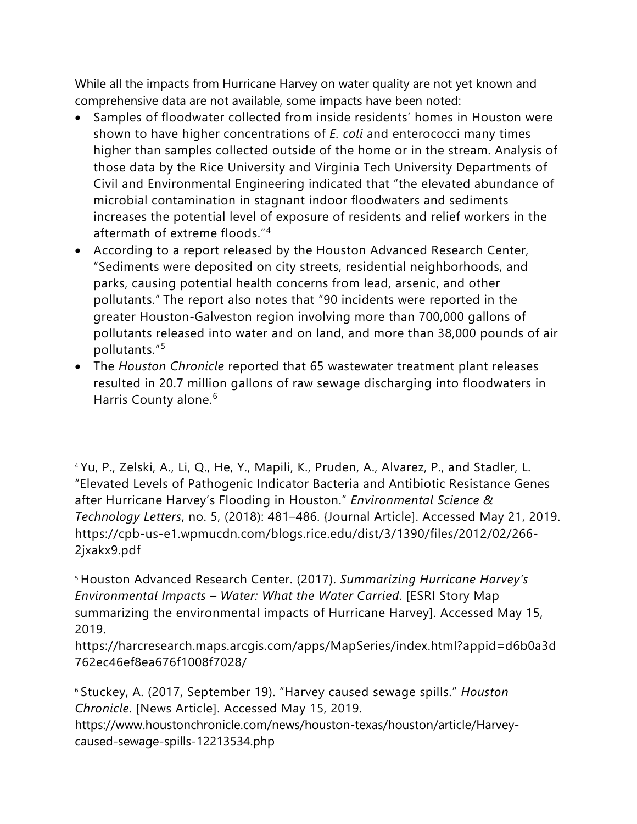While all the impacts from Hurricane Harvey on water quality are not yet known and comprehensive data are not available, some impacts have been noted:

- Samples of floodwater collected from inside residents' homes in Houston were shown to have higher concentrations of *E. coli* and enterococci many times higher than samples collected outside of the home or in the stream. Analysis of those data by the Rice University and Virginia Tech University Departments of Civil and Environmental Engineering indicated that "the elevated abundance of microbial contamination in stagnant indoor floodwaters and sediments increases the potential level of exposure of residents and relief workers in the aftermath of extreme floods."[4](#page-10-0)
- According to a report released by the Houston Advanced Research Center, "Sediments were deposited on city streets, residential neighborhoods, and parks, causing potential health concerns from lead, arsenic, and other pollutants." The report also notes that "90 incidents were reported in the greater Houston-Galveston region involving more than 700,000 gallons of pollutants released into water and on land, and more than 38,000 pounds of air pollutants."[5](#page-10-1)
- The *Houston Chronicle* reported that 65 wastewater treatment plant releases resulted in 20.7 million gallons of raw sewage discharging into floodwaters in Harris County alone.<sup>[6](#page-10-2)</sup>

 $\overline{a}$ 

<span id="page-10-0"></span><sup>4</sup> Yu, P., Zelski, A., Li, Q., He, Y., Mapili, K., Pruden, A., Alvarez, P., and Stadler, L. "Elevated Levels of Pathogenic Indicator Bacteria and Antibiotic Resistance Genes after Hurricane Harvey's Flooding in Houston." *Environmental Science & Technology Letters*, no. 5, (2018): 481–486. {Journal Article]. Accessed May 21, 2019. https://cpb-us-e1.wpmucdn.com/blogs.rice.edu/dist/3/1390/files/2012/02/266- 2jxakx9.pdf

<span id="page-10-1"></span><sup>5</sup> Houston Advanced Research Center. (2017). *Summarizing Hurricane Harvey's Environmental Impacts – Water: What the Water Carried*. [ESRI Story Map summarizing the environmental impacts of Hurricane Harvey]. Accessed May 15, 2019.

https://harcresearch.maps.arcgis.com/apps/MapSeries/index.html?appid=d6b0a3d 762ec46ef8ea676f1008f7028/

<span id="page-10-2"></span><sup>6</sup> Stuckey, A. (2017, September 19). "Harvey caused sewage spills." *Houston Chronicle*. [News Article]. Accessed May 15, 2019.

https://www.houstonchronicle.com/news/houston-texas/houston/article/Harveycaused-sewage-spills-12213534.php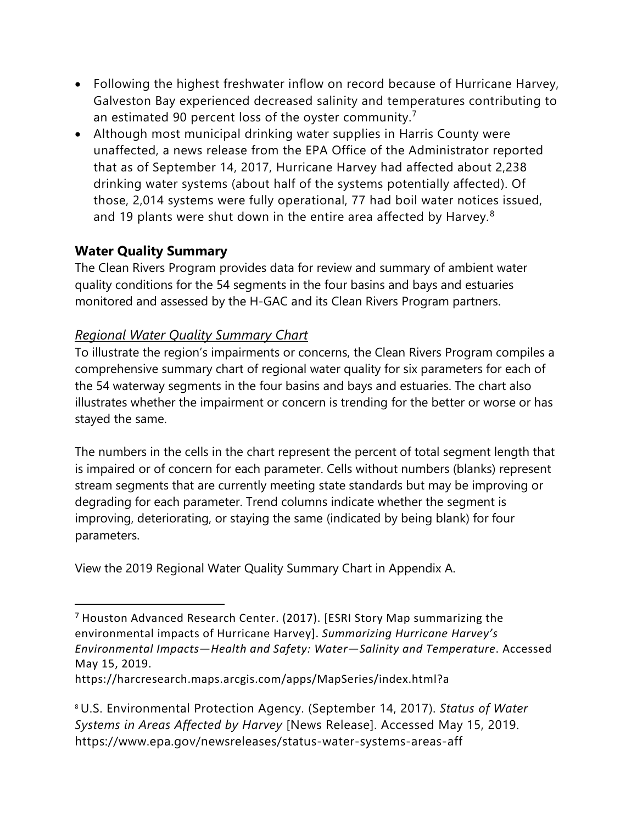- Following the highest freshwater inflow on record because of Hurricane Harvey, Galveston Bay experienced decreased salinity and temperatures contributing to an estimated 90 percent loss of the oyster community.<sup>[7](#page-11-0)</sup>
- Although most municipal drinking water supplies in Harris County were unaffected, a news release from the EPA Office of the Administrator reported that as of September 14, 2017, Hurricane Harvey had affected about 2,238 drinking water systems (about half of the systems potentially affected). Of those, 2,014 systems were fully operational, 77 had boil water notices issued, and 19 plants were shut down in the entire area affected by Harvey.<sup>[8](#page-11-1)</sup>

# **Water Quality Summary**

The Clean Rivers Program provides data for review and summary of ambient water quality conditions for the 54 segments in the four basins and bays and estuaries monitored and assessed by the H-GAC and its Clean Rivers Program partners.

## *Regional Water Quality Summary Chart*

To illustrate the region's impairments or concerns, the Clean Rivers Program compiles a comprehensive summary chart of regional water quality for six parameters for each of the 54 waterway segments in the four basins and bays and estuaries. The chart also illustrates whether the impairment or concern is trending for the better or worse or has stayed the same.

The numbers in the cells in the chart represent the percent of total segment length that is impaired or of concern for each parameter. Cells without numbers (blanks) represent stream segments that are currently meeting state standards but may be improving or degrading for each parameter. Trend columns indicate whether the segment is improving, deteriorating, or staying the same (indicated by being blank) for four parameters.

View the 2019 Regional Water Quality Summary Chart in Appendix A.

https://harcresearch.maps.arcgis.com/apps/MapSeries/index.html?a

<span id="page-11-1"></span><sup>8</sup> U.S. Environmental Protection Agency. (September 14, 2017). *Status of Water Systems in Areas Affected by Harvey* [News Release]. Accessed May 15, 2019. [https://www.epa.gov/newsreleases/status-water-systems-areas-aff](https://www.epa.gov/newsreleases/status-water-systems-areas-affected-harvey-2)

<span id="page-11-0"></span> $7$  Houston Advanced Research Center. (2017). [ESRI Story Map summarizing the environmental impacts of Hurricane Harvey]. *Summarizing Hurricane Harvey's Environmental Impacts—Health and Safety: Water—Salinity and Temperature*. Accessed May 15, 2019.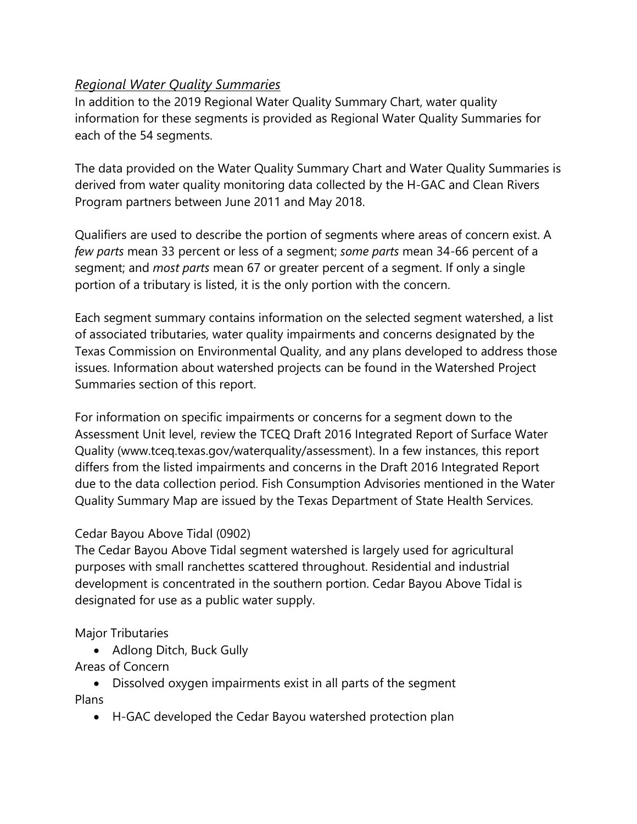## *Regional Water Quality Summaries*

In addition to the 2019 Regional Water Quality Summary Chart, water quality information for these segments is provided as Regional Water Quality Summaries for each of the 54 segments.

The data provided on the Water Quality Summary Chart and Water Quality Summaries is derived from water quality monitoring data collected by the H-GAC and Clean Rivers Program partners between June 2011 and May 2018.

Qualifiers are used to describe the portion of segments where areas of concern exist. A *few parts* mean 33 percent or less of a segment; *some parts* mean 34-66 percent of a segment; and *most parts* mean 67 or greater percent of a segment. If only a single portion of a tributary is listed, it is the only portion with the concern.

Each segment summary contains information on the selected segment watershed, a list of associated tributaries, water quality impairments and concerns designated by the Texas Commission on Environmental Quality, and any plans developed to address those issues. Information about watershed projects can be found in the Watershed Project Summaries section of this report.

For information on specific impairments or concerns for a segment down to the Assessment Unit level, review the TCEQ Draft 2016 Integrated Report of Surface Water Quality (www.tceq.texas.gov/waterquality/assessment). In a few instances, this report differs from the listed impairments and concerns in the Draft 2016 Integrated Report due to the data collection period. Fish Consumption Advisories mentioned in the Water Quality Summary Map are issued by the Texas Department of State Health Services.

## Cedar Bayou Above Tidal (0902)

The Cedar Bayou Above Tidal segment watershed is largely used for agricultural purposes with small ranchettes scattered throughout. Residential and industrial development is concentrated in the southern portion. Cedar Bayou Above Tidal is designated for use as a public water supply.

## Major Tributaries

- Adlong Ditch, Buck Gully
- Areas of Concern
- Dissolved oxygen impairments exist in all parts of the segment Plans
	- H-GAC developed the Cedar Bayou watershed protection plan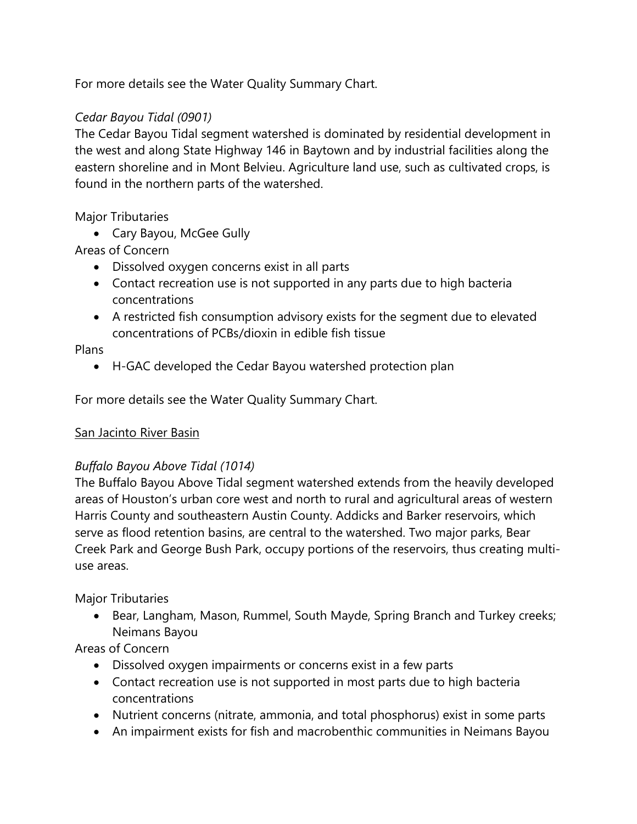For more details see the Water Quality Summary Chart.

## *Cedar Bayou Tidal (0901)*

The Cedar Bayou Tidal segment watershed is dominated by residential development in the west and along State Highway 146 in Baytown and by industrial facilities along the eastern shoreline and in Mont Belvieu. Agriculture land use, such as cultivated crops, is found in the northern parts of the watershed.

## Major Tributaries

• Cary Bayou, McGee Gully

## Areas of Concern

- Dissolved oxygen concerns exist in all parts
- Contact recreation use is not supported in any parts due to high bacteria concentrations
- A restricted fish consumption advisory exists for the segment due to elevated concentrations of PCBs/dioxin in edible fish tissue

#### Plans

• H-GAC developed the Cedar Bayou watershed protection plan

For more details see the Water Quality Summary Chart.

#### San Jacinto River Basin

## *Buffalo Bayou Above Tidal (1014)*

The Buffalo Bayou Above Tidal segment watershed extends from the heavily developed areas of Houston's urban core west and north to rural and agricultural areas of western Harris County and southeastern Austin County. Addicks and Barker reservoirs, which serve as flood retention basins, are central to the watershed. Two major parks, Bear Creek Park and George Bush Park, occupy portions of the reservoirs, thus creating multiuse areas.

Major Tributaries

• Bear, Langham, Mason, Rummel, South Mayde, Spring Branch and Turkey creeks; Neimans Bayou

- Dissolved oxygen impairments or concerns exist in a few parts
- Contact recreation use is not supported in most parts due to high bacteria concentrations
- Nutrient concerns (nitrate, ammonia, and total phosphorus) exist in some parts
- An impairment exists for fish and macrobenthic communities in Neimans Bayou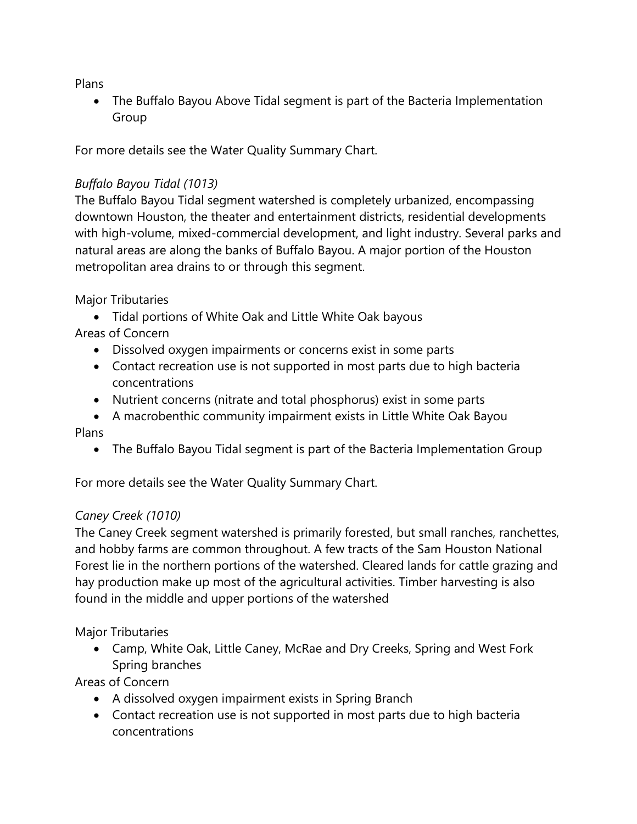Plans

• The Buffalo Bayou Above Tidal segment is part of the Bacteria Implementation Group

For more details see the Water Quality Summary Chart.

## *Buffalo Bayou Tidal (1013)*

The Buffalo Bayou Tidal segment watershed is completely urbanized, encompassing downtown Houston, the theater and entertainment districts, residential developments with high-volume, mixed-commercial development, and light industry. Several parks and natural areas are along the banks of Buffalo Bayou. A major portion of the Houston metropolitan area drains to or through this segment.

Major Tributaries

- Tidal portions of White Oak and Little White Oak bayous
- Areas of Concern
	- Dissolved oxygen impairments or concerns exist in some parts
	- Contact recreation use is not supported in most parts due to high bacteria concentrations
	- Nutrient concerns (nitrate and total phosphorus) exist in some parts
- A macrobenthic community impairment exists in Little White Oak Bayou Plans
	- The Buffalo Bayou Tidal segment is part of the Bacteria Implementation Group

For more details see the Water Quality Summary Chart.

# *Caney Creek (1010)*

The Caney Creek segment watershed is primarily forested, but small ranches, ranchettes, and hobby farms are common throughout. A few tracts of the Sam Houston National Forest lie in the northern portions of the watershed. Cleared lands for cattle grazing and hay production make up most of the agricultural activities. Timber harvesting is also found in the middle and upper portions of the watershed

Major Tributaries

• Camp, White Oak, Little Caney, McRae and Dry Creeks, Spring and West Fork Spring branches

- A dissolved oxygen impairment exists in Spring Branch
- Contact recreation use is not supported in most parts due to high bacteria concentrations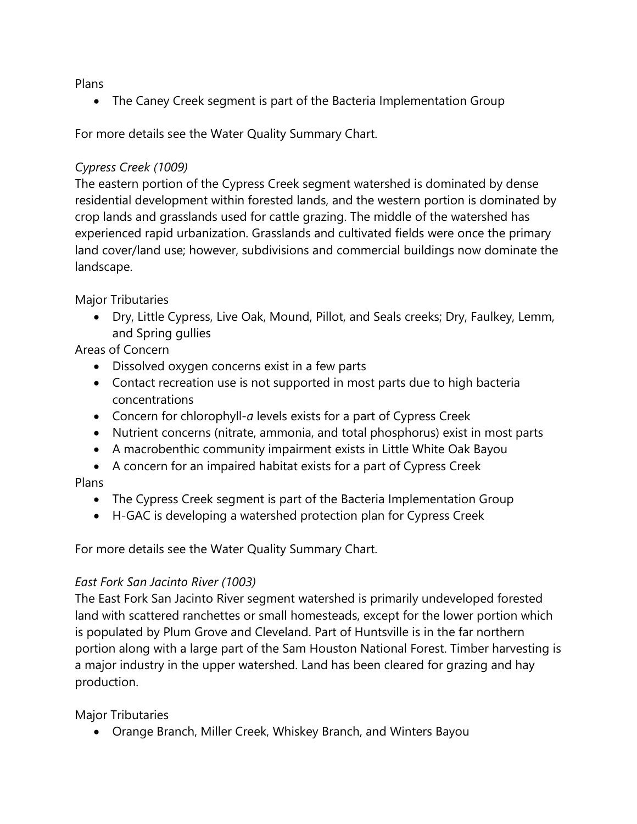Plans

• The Caney Creek segment is part of the Bacteria Implementation Group

For more details see the Water Quality Summary Chart.

## *Cypress Creek (1009)*

The eastern portion of the Cypress Creek segment watershed is dominated by dense residential development within forested lands, and the western portion is dominated by crop lands and grasslands used for cattle grazing. The middle of the watershed has experienced rapid urbanization. Grasslands and cultivated fields were once the primary land cover/land use; however, subdivisions and commercial buildings now dominate the landscape.

Major Tributaries

• Dry, Little Cypress, Live Oak, Mound, Pillot, and Seals creeks; Dry, Faulkey, Lemm, and Spring gullies

Areas of Concern

- Dissolved oxygen concerns exist in a few parts
- Contact recreation use is not supported in most parts due to high bacteria concentrations
- Concern for chlorophyll-*a* levels exists for a part of Cypress Creek
- Nutrient concerns (nitrate, ammonia, and total phosphorus) exist in most parts
- A macrobenthic community impairment exists in Little White Oak Bayou
- A concern for an impaired habitat exists for a part of Cypress Creek

Plans

- The Cypress Creek segment is part of the Bacteria Implementation Group
- H-GAC is developing a watershed protection plan for Cypress Creek

For more details see the Water Quality Summary Chart.

## *East Fork San Jacinto River (1003)*

The East Fork San Jacinto River segment watershed is primarily undeveloped forested land with scattered ranchettes or small homesteads, except for the lower portion which is populated by Plum Grove and Cleveland. Part of Huntsville is in the far northern portion along with a large part of the Sam Houston National Forest. Timber harvesting is a major industry in the upper watershed. Land has been cleared for grazing and hay production.

Major Tributaries

• Orange Branch, Miller Creek, Whiskey Branch, and Winters Bayou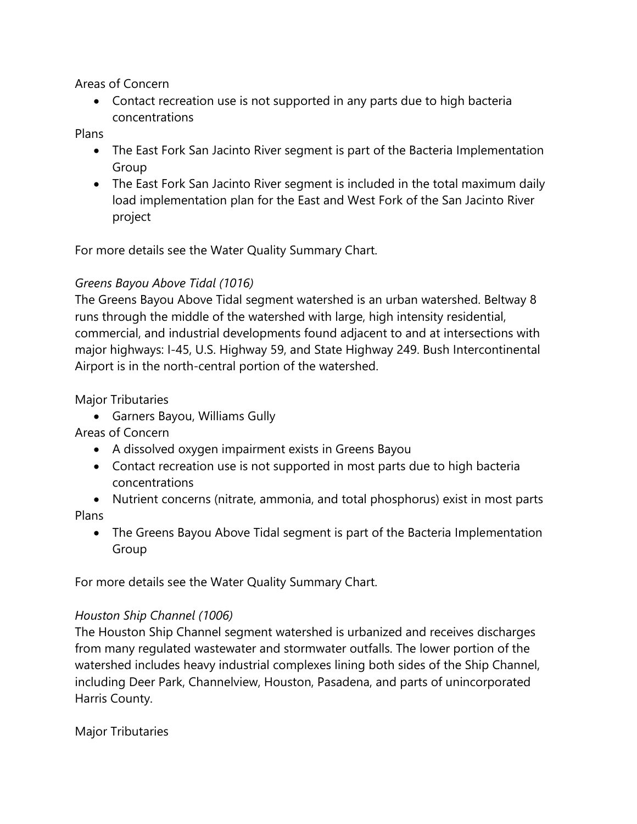#### Areas of Concern

• Contact recreation use is not supported in any parts due to high bacteria concentrations

Plans

- The East Fork San Jacinto River segment is part of the Bacteria Implementation Group
- The East Fork San Jacinto River segment is included in the total maximum daily load implementation plan for the East and West Fork of the San Jacinto River project

For more details see the Water Quality Summary Chart.

## *Greens Bayou Above Tidal (1016)*

The Greens Bayou Above Tidal segment watershed is an urban watershed. Beltway 8 runs through the middle of the watershed with large, high intensity residential, commercial, and industrial developments found adjacent to and at intersections with major highways: I-45, U.S. Highway 59, and State Highway 249. Bush Intercontinental Airport is in the north-central portion of the watershed.

## Major Tributaries

• Garners Bayou, Williams Gully

Areas of Concern

- A dissolved oxygen impairment exists in Greens Bayou
- Contact recreation use is not supported in most parts due to high bacteria concentrations
- Nutrient concerns (nitrate, ammonia, and total phosphorus) exist in most parts Plans
	- The Greens Bayou Above Tidal segment is part of the Bacteria Implementation Group

For more details see the Water Quality Summary Chart.

## *Houston Ship Channel (1006)*

The Houston Ship Channel segment watershed is urbanized and receives discharges from many regulated wastewater and stormwater outfalls. The lower portion of the watershed includes heavy industrial complexes lining both sides of the Ship Channel, including Deer Park, Channelview, Houston, Pasadena, and parts of unincorporated Harris County.

Major Tributaries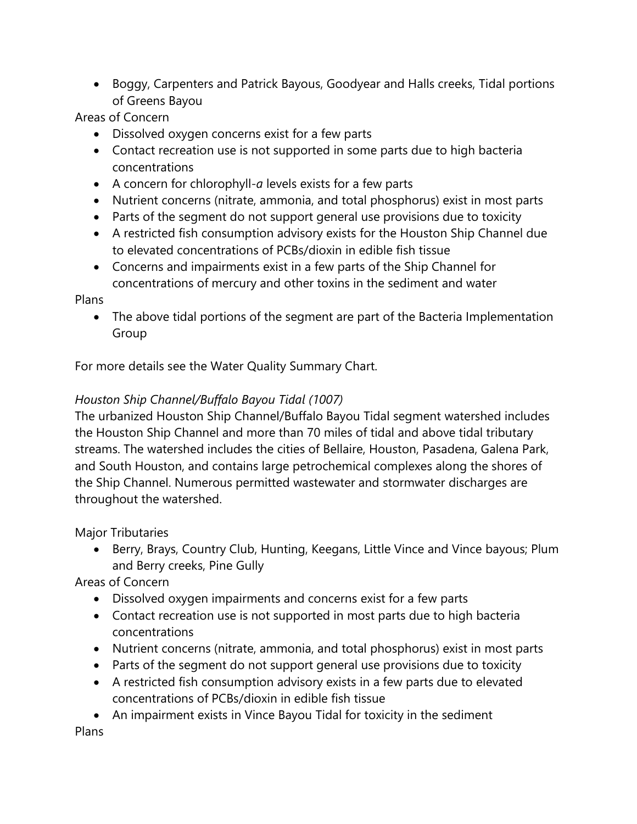• Boggy, Carpenters and Patrick Bayous, Goodyear and Halls creeks, Tidal portions of Greens Bayou

Areas of Concern

- Dissolved oxygen concerns exist for a few parts
- Contact recreation use is not supported in some parts due to high bacteria concentrations
- A concern for chlorophyll-*a* levels exists for a few parts
- Nutrient concerns (nitrate, ammonia, and total phosphorus) exist in most parts
- Parts of the segment do not support general use provisions due to toxicity
- A restricted fish consumption advisory exists for the Houston Ship Channel due to elevated concentrations of PCBs/dioxin in edible fish tissue
- Concerns and impairments exist in a few parts of the Ship Channel for concentrations of mercury and other toxins in the sediment and water

Plans

• The above tidal portions of the segment are part of the Bacteria Implementation Group

For more details see the Water Quality Summary Chart.

# *Houston Ship Channel/Buffalo Bayou Tidal (1007)*

The urbanized Houston Ship Channel/Buffalo Bayou Tidal segment watershed includes the Houston Ship Channel and more than 70 miles of tidal and above tidal tributary streams. The watershed includes the cities of Bellaire, Houston, Pasadena, Galena Park, and South Houston, and contains large petrochemical complexes along the shores of the Ship Channel. Numerous permitted wastewater and stormwater discharges are throughout the watershed.

Major Tributaries

• Berry, Brays, Country Club, Hunting, Keegans, Little Vince and Vince bayous; Plum and Berry creeks, Pine Gully

Areas of Concern

- Dissolved oxygen impairments and concerns exist for a few parts
- Contact recreation use is not supported in most parts due to high bacteria concentrations
- Nutrient concerns (nitrate, ammonia, and total phosphorus) exist in most parts
- Parts of the segment do not support general use provisions due to toxicity
- A restricted fish consumption advisory exists in a few parts due to elevated concentrations of PCBs/dioxin in edible fish tissue
- An impairment exists in Vince Bayou Tidal for toxicity in the sediment

Plans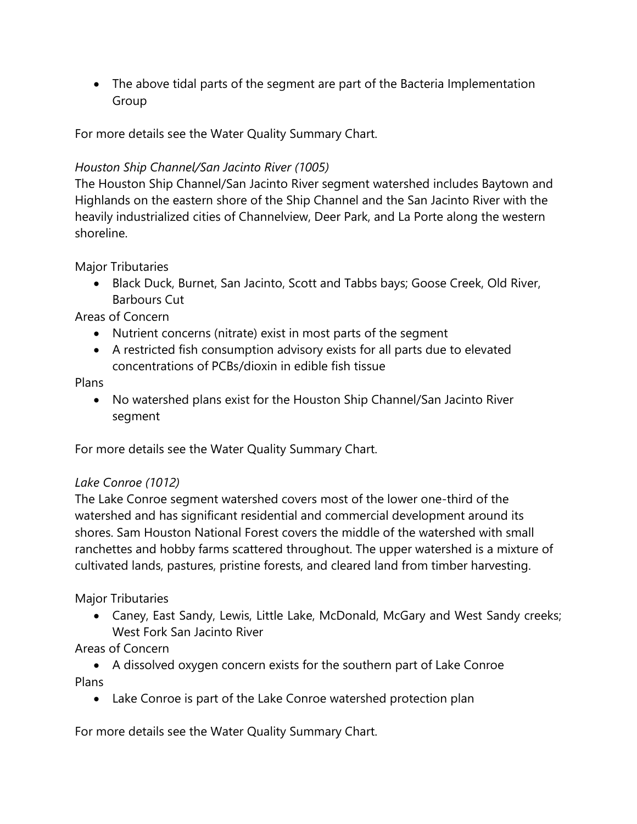• The above tidal parts of the segment are part of the Bacteria Implementation Group

For more details see the Water Quality Summary Chart.

## *Houston Ship Channel/San Jacinto River (1005)*

The Houston Ship Channel/San Jacinto River segment watershed includes Baytown and Highlands on the eastern shore of the Ship Channel and the San Jacinto River with the heavily industrialized cities of Channelview, Deer Park, and La Porte along the western shoreline.

Major Tributaries

• Black Duck, Burnet, San Jacinto, Scott and Tabbs bays; Goose Creek, Old River, Barbours Cut

Areas of Concern

- Nutrient concerns (nitrate) exist in most parts of the segment
- A restricted fish consumption advisory exists for all parts due to elevated concentrations of PCBs/dioxin in edible fish tissue

Plans

• No watershed plans exist for the Houston Ship Channel/San Jacinto River segment

For more details see the Water Quality Summary Chart.

## *Lake Conroe (1012)*

The Lake Conroe segment watershed covers most of the lower one-third of the watershed and has significant residential and commercial development around its shores. Sam Houston National Forest covers the middle of the watershed with small ranchettes and hobby farms scattered throughout. The upper watershed is a mixture of cultivated lands, pastures, pristine forests, and cleared land from timber harvesting.

Major Tributaries

• Caney, East Sandy, Lewis, Little Lake, McDonald, McGary and West Sandy creeks; West Fork San Jacinto River

Areas of Concern

• A dissolved oxygen concern exists for the southern part of Lake Conroe Plans

• Lake Conroe is part of the Lake Conroe watershed protection plan

For more details see the Water Quality Summary Chart.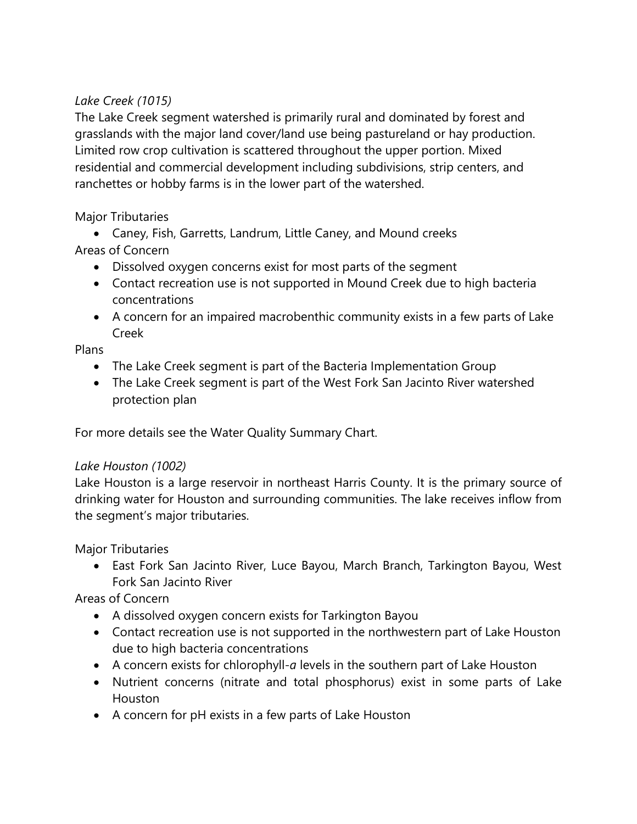## *Lake Creek (1015)*

The Lake Creek segment watershed is primarily rural and dominated by forest and grasslands with the major land cover/land use being pastureland or hay production. Limited row crop cultivation is scattered throughout the upper portion. Mixed residential and commercial development including subdivisions, strip centers, and ranchettes or hobby farms is in the lower part of the watershed.

#### Major Tributaries

• Caney, Fish, Garretts, Landrum, Little Caney, and Mound creeks Areas of Concern

- Dissolved oxygen concerns exist for most parts of the segment
- Contact recreation use is not supported in Mound Creek due to high bacteria concentrations
- A concern for an impaired macrobenthic community exists in a few parts of Lake Creek

Plans

- The Lake Creek segment is part of the Bacteria Implementation Group
- The Lake Creek segment is part of the West Fork San Jacinto River watershed protection plan

For more details see the Water Quality Summary Chart.

## *Lake Houston (1002)*

Lake Houston is a large reservoir in northeast Harris County. It is the primary source of drinking water for Houston and surrounding communities. The lake receives inflow from the segment's major tributaries.

Major Tributaries

• East Fork San Jacinto River, Luce Bayou, March Branch, Tarkington Bayou, West Fork San Jacinto River

- A dissolved oxygen concern exists for Tarkington Bayou
- Contact recreation use is not supported in the northwestern part of Lake Houston due to high bacteria concentrations
- A concern exists for chlorophyll-*a* levels in the southern part of Lake Houston
- Nutrient concerns (nitrate and total phosphorus) exist in some parts of Lake Houston
- A concern for pH exists in a few parts of Lake Houston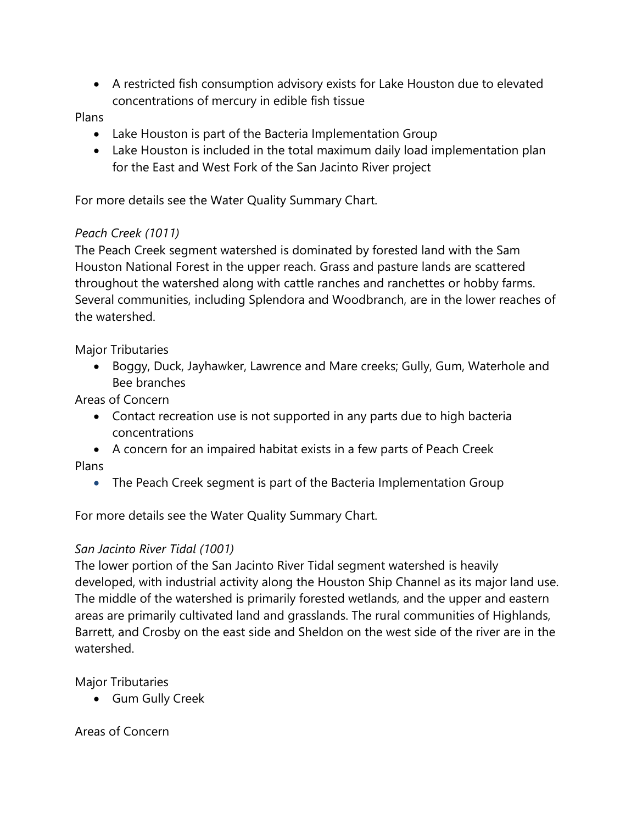• A restricted fish consumption advisory exists for Lake Houston due to elevated concentrations of mercury in edible fish tissue

#### Plans

- Lake Houston is part of the Bacteria Implementation Group
- Lake Houston is included in the total maximum daily load implementation plan for the East and West Fork of the San Jacinto River project

For more details see the Water Quality Summary Chart.

#### *Peach Creek (1011)*

The Peach Creek segment watershed is dominated by forested land with the Sam Houston National Forest in the upper reach. Grass and pasture lands are scattered throughout the watershed along with cattle ranches and ranchettes or hobby farms. Several communities, including Splendora and Woodbranch, are in the lower reaches of the watershed.

Major Tributaries

• Boggy, Duck, Jayhawker, Lawrence and Mare creeks; Gully, Gum, Waterhole and Bee branches

Areas of Concern

- Contact recreation use is not supported in any parts due to high bacteria concentrations
- A concern for an impaired habitat exists in a few parts of Peach Creek Plans
	- The Peach Creek segment is part of the Bacteria Implementation Group

For more details see the Water Quality Summary Chart.

#### *San Jacinto River Tidal (1001)*

The lower portion of the San Jacinto River Tidal segment watershed is heavily developed, with industrial activity along the Houston Ship Channel as its major land use. The middle of the watershed is primarily forested wetlands, and the upper and eastern areas are primarily cultivated land and grasslands. The rural communities of Highlands, Barrett, and Crosby on the east side and Sheldon on the west side of the river are in the watershed.

Major Tributaries

• Gum Gully Creek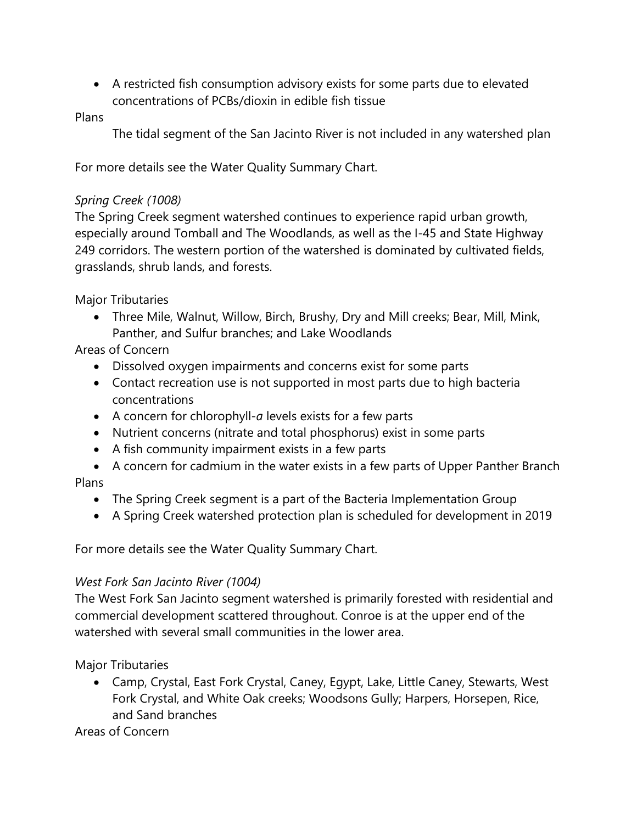• A restricted fish consumption advisory exists for some parts due to elevated concentrations of PCBs/dioxin in edible fish tissue

Plans

The tidal segment of the San Jacinto River is not included in any watershed plan

For more details see the Water Quality Summary Chart.

## *Spring Creek (1008)*

The Spring Creek segment watershed continues to experience rapid urban growth, especially around Tomball and The Woodlands, as well as the I-45 and State Highway 249 corridors. The western portion of the watershed is dominated by cultivated fields, grasslands, shrub lands, and forests.

Major Tributaries

• Three Mile, Walnut, Willow, Birch, Brushy, Dry and Mill creeks; Bear, Mill, Mink, Panther, and Sulfur branches; and Lake Woodlands

Areas of Concern

- Dissolved oxygen impairments and concerns exist for some parts
- Contact recreation use is not supported in most parts due to high bacteria concentrations
- A concern for chlorophyll-*a* levels exists for a few parts
- Nutrient concerns (nitrate and total phosphorus) exist in some parts
- A fish community impairment exists in a few parts
- A concern for cadmium in the water exists in a few parts of Upper Panther Branch Plans
	- The Spring Creek segment is a part of the [Bacteria Implementation Group](http://www.h-gac.com/community/water/tmdl/BIG/default.aspx)
	- A Spring Creek watershed protection plan is scheduled for development in 2019

For more details see the Water Quality Summary Chart.

## *West Fork San Jacinto River (1004)*

The West Fork San Jacinto segment watershed is primarily forested with residential and commercial development scattered throughout. Conroe is at the upper end of the watershed with several small communities in the lower area.

Major Tributaries

• Camp, Crystal, East Fork Crystal, Caney, Egypt, Lake, Little Caney, Stewarts, West Fork Crystal, and White Oak creeks; Woodsons Gully; Harpers, Horsepen, Rice, and Sand branches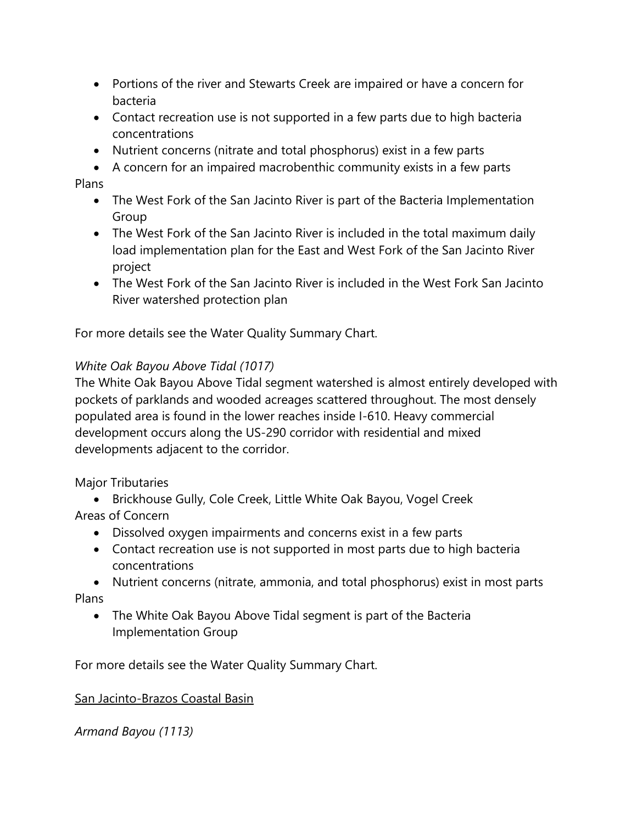- Portions of the river and Stewarts Creek are impaired or have a concern for bacteria
- Contact recreation use is not supported in a few parts due to high bacteria concentrations
- Nutrient concerns (nitrate and total phosphorus) exist in a few parts
- A concern for an impaired macrobenthic community exists in a few parts

Plans

- The West Fork of the San Jacinto River is part of the Bacteria Implementation Group
- The West Fork of the San Jacinto River is included in the total maximum daily load implementation plan for the East and West Fork of the San Jacinto River project
- The West Fork of the San Jacinto River is included in the West Fork San Jacinto River watershed protection plan

For more details see the Water Quality Summary Chart.

# *White Oak Bayou Above Tidal (1017)*

The White Oak Bayou Above Tidal segment watershed is almost entirely developed with pockets of parklands and wooded acreages scattered throughout. The most densely populated area is found in the lower reaches inside I-610. Heavy commercial development occurs along the US-290 corridor with residential and mixed developments adjacent to the corridor.

Major Tributaries

- Brickhouse Gully, Cole Creek, Little White Oak Bayou, Vogel Creek Areas of Concern
	- Dissolved oxygen impairments and concerns exist in a few parts
	- Contact recreation use is not supported in most parts due to high bacteria concentrations

• Nutrient concerns (nitrate, ammonia, and total phosphorus) exist in most parts Plans

• The White Oak Bayou Above Tidal segment is part of the Bacteria Implementation Group

For more details see the Water Quality Summary Chart.

## San Jacinto-Brazos Coastal Basin

*Armand Bayou (1113)*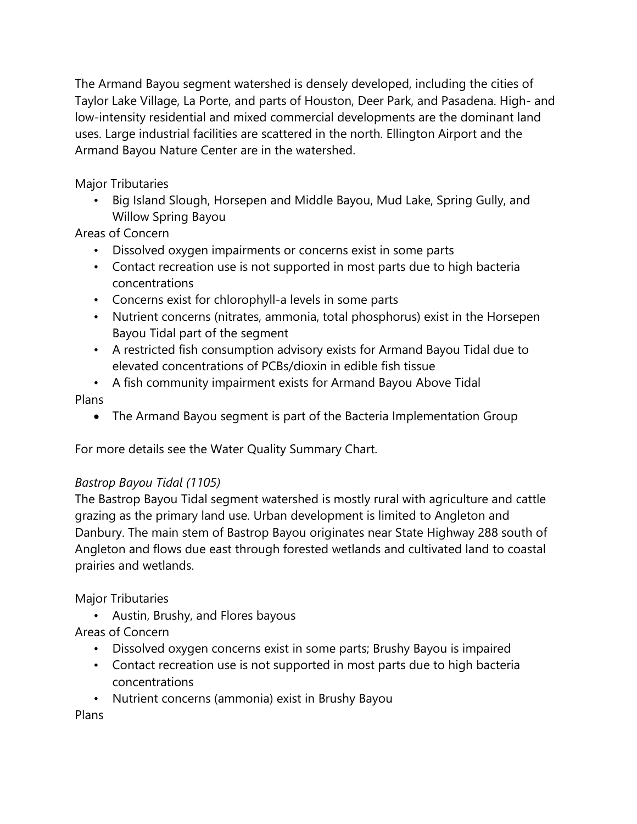The Armand Bayou segment watershed is densely developed, including the cities of Taylor Lake Village, La Porte, and parts of Houston, Deer Park, and Pasadena. High- and low-intensity residential and mixed commercial developments are the dominant land uses. Large industrial facilities are scattered in the north. Ellington Airport and the Armand Bayou Nature Center are in the watershed.

Major Tributaries

• Big Island Slough, Horsepen and Middle Bayou, Mud Lake, Spring Gully, and Willow Spring Bayou

Areas of Concern

- Dissolved oxygen impairments or concerns exist in some parts
- Contact recreation use is not supported in most parts due to high bacteria concentrations
- Concerns exist for chlorophyll-a levels in some parts
- Nutrient concerns (nitrates, ammonia, total phosphorus) exist in the Horsepen Bayou Tidal part of the segment
- A restricted fish consumption advisory exists for Armand Bayou Tidal due to elevated concentrations of PCBs/dioxin in edible fish tissue
- A fish community impairment exists for Armand Bayou Above Tidal Plans
	- The Armand Bayou segment is part of the Bacteria Implementation Group

For more details see the Water Quality Summary Chart.

# *Bastrop Bayou Tidal (1105)*

The Bastrop Bayou Tidal segment watershed is mostly rural with agriculture and cattle grazing as the primary land use. Urban development is limited to Angleton and Danbury. The main stem of Bastrop Bayou originates near State Highway 288 south of Angleton and flows due east through forested wetlands and cultivated land to coastal prairies and wetlands.

Major Tributaries

• Austin, Brushy, and Flores bayous

Areas of Concern

- Dissolved oxygen concerns exist in some parts; Brushy Bayou is impaired
- Contact recreation use is not supported in most parts due to high bacteria concentrations
- Nutrient concerns (ammonia) exist in Brushy Bayou

Plans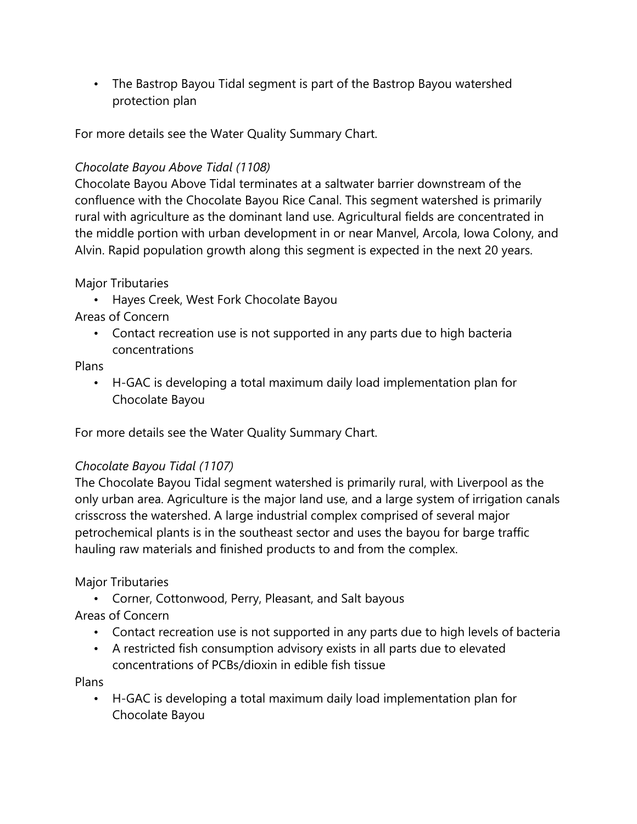• The Bastrop Bayou Tidal segment is part of the Bastrop Bayou watershed protection plan

For more details see the Water Quality Summary Chart.

#### *Chocolate Bayou Above Tidal (1108)*

Chocolate Bayou Above Tidal terminates at a saltwater barrier downstream of the confluence with the Chocolate Bayou Rice Canal. This segment watershed is primarily rural with agriculture as the dominant land use. Agricultural fields are concentrated in the middle portion with urban development in or near Manvel, Arcola, Iowa Colony, and Alvin. Rapid population growth along this segment is expected in the next 20 years.

Major Tributaries

• Hayes Creek, West Fork Chocolate Bayou

Areas of Concern

• Contact recreation use is not supported in any parts due to high bacteria concentrations

Plans

• H-GAC is developing a total maximum daily load implementation plan for Chocolate Bayou

For more details see the Water Quality Summary Chart.

## *Chocolate Bayou Tidal (1107)*

The Chocolate Bayou Tidal segment watershed is primarily rural, with Liverpool as the only urban area. Agriculture is the major land use, and a large system of irrigation canals crisscross the watershed. A large industrial complex comprised of several major petrochemical plants is in the southeast sector and uses the bayou for barge traffic hauling raw materials and finished products to and from the complex.

## Major Tributaries

• Corner, Cottonwood, Perry, Pleasant, and Salt bayous

## Areas of Concern

- Contact recreation use is not supported in any parts due to high levels of bacteria
- A restricted fish consumption advisory exists in all parts due to elevated concentrations of PCBs/dioxin in edible fish tissue

Plans

• H-GAC is developing a total maximum daily load implementation plan for Chocolate Bayou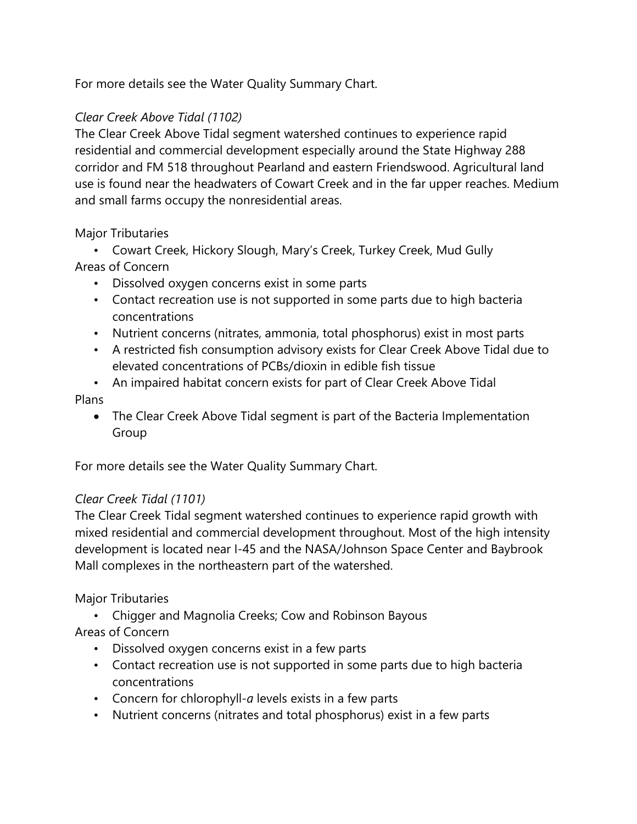For more details see the Water Quality Summary Chart.

# *Clear Creek Above Tidal (1102)*

The Clear Creek Above Tidal segment watershed continues to experience rapid residential and commercial development especially around the State Highway 288 corridor and FM 518 throughout Pearland and eastern Friendswood. Agricultural land use is found near the headwaters of Cowart Creek and in the far upper reaches. Medium and small farms occupy the nonresidential areas.

## Major Tributaries

• Cowart Creek, Hickory Slough, Mary's Creek, Turkey Creek, Mud Gully Areas of Concern

- Dissolved oxygen concerns exist in some parts
- Contact recreation use is not supported in some parts due to high bacteria concentrations
- Nutrient concerns (nitrates, ammonia, total phosphorus) exist in most parts
- A restricted fish consumption advisory exists for Clear Creek Above Tidal due to elevated concentrations of PCBs/dioxin in edible fish tissue
- An impaired habitat concern exists for part of Clear Creek Above Tidal Plans
	- The Clear Creek Above Tidal segment is part of the Bacteria Implementation Group

For more details see the Water Quality Summary Chart.

## *Clear Creek Tidal (1101)*

The Clear Creek Tidal segment watershed continues to experience rapid growth with mixed residential and commercial development throughout. Most of the high intensity development is located near I-45 and the NASA/Johnson Space Center and Baybrook Mall complexes in the northeastern part of the watershed.

## Major Tributaries

• Chigger and Magnolia Creeks; Cow and Robinson Bayous

- Dissolved oxygen concerns exist in a few parts
- Contact recreation use is not supported in some parts due to high bacteria concentrations
- Concern for chlorophyll-*a* levels exists in a few parts
- Nutrient concerns (nitrates and total phosphorus) exist in a few parts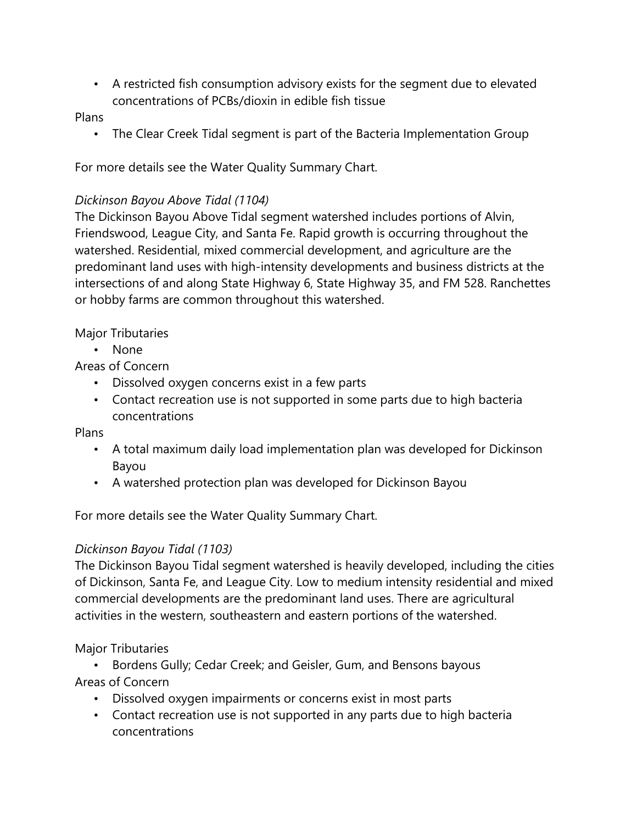• A restricted fish consumption advisory exists for the segment due to elevated concentrations of PCBs/dioxin in edible fish tissue

Plans

• The Clear Creek Tidal segment is part of the Bacteria Implementation Group

For more details see the Water Quality Summary Chart.

## *Dickinson Bayou Above Tidal (1104)*

The Dickinson Bayou Above Tidal segment watershed includes portions of Alvin, Friendswood, League City, and Santa Fe. Rapid growth is occurring throughout the watershed. Residential, mixed commercial development, and agriculture are the predominant land uses with high-intensity developments and business districts at the intersections of and along State Highway 6, State Highway 35, and FM 528. Ranchettes or hobby farms are common throughout this watershed.

Major Tributaries

• None

Areas of Concern

- Dissolved oxygen concerns exist in a few parts
- Contact recreation use is not supported in some parts due to high bacteria concentrations

Plans

- A total maximum daily load implementation plan was developed for Dickinson Bayou
- A watershed protection plan was developed for Dickinson Bayou

For more details see the Water Quality Summary Chart.

## *Dickinson Bayou Tidal (1103)*

The Dickinson Bayou Tidal segment watershed is heavily developed, including the cities of Dickinson, Santa Fe, and League City. Low to medium intensity residential and mixed commercial developments are the predominant land uses. There are agricultural activities in the western, southeastern and eastern portions of the watershed.

Major Tributaries

• Bordens Gully; Cedar Creek; and Geisler, Gum, and Bensons bayous Areas of Concern

- Dissolved oxygen impairments or concerns exist in most parts
- Contact recreation use is not supported in any parts due to high bacteria concentrations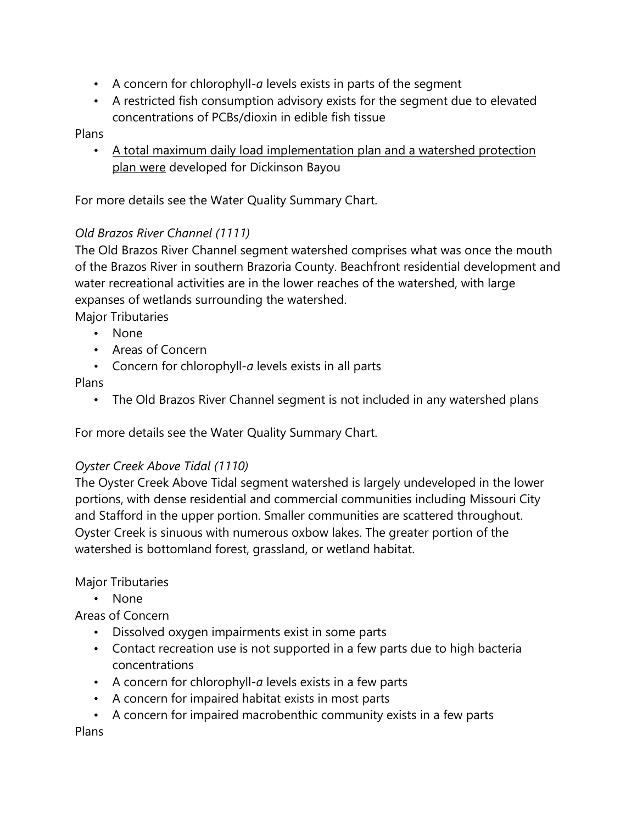- A concern for chlorophyll-*a* levels exists in parts of the segment
- A restricted fish consumption advisory exists for the segment due to elevated concentrations of PCBs/dioxin in edible fish tissue

#### Plans

• A total maximum daily load implementation plan and a watershed protection plan were developed for Dickinson Bayou

For more details see the Water Quality Summary Chart.

#### *Old Brazos River Channel (1111)*

The Old Brazos River Channel segment watershed comprises what was once the mouth of the Brazos River in southern Brazoria County. Beachfront residential development and water recreational activities are in the lower reaches of the watershed, with large expanses of wetlands surrounding the watershed.

Major Tributaries

- None
- Areas of Concern
- Concern for chlorophyll-*a* levels exists in all parts

#### Plans

• The Old Brazos River Channel segment is not included in any watershed plans

For more details see the Water Quality Summary Chart.

## *Oyster Creek Above Tidal (1110)*

The Oyster Creek Above Tidal segment watershed is largely undeveloped in the lower portions, with dense residential and commercial communities including Missouri City and Stafford in the upper portion. Smaller communities are scattered throughout. Oyster Creek is sinuous with numerous oxbow lakes. The greater portion of the watershed is bottomland forest, grassland, or wetland habitat.

## Major Tributaries

• None

## Areas of Concern

- Dissolved oxygen impairments exist in some parts
- Contact recreation use is not supported in a few parts due to high bacteria concentrations
- A concern for chlorophyll-*a* levels exists in a few parts
- A concern for impaired habitat exists in most parts
- A concern for impaired macrobenthic community exists in a few parts

Plans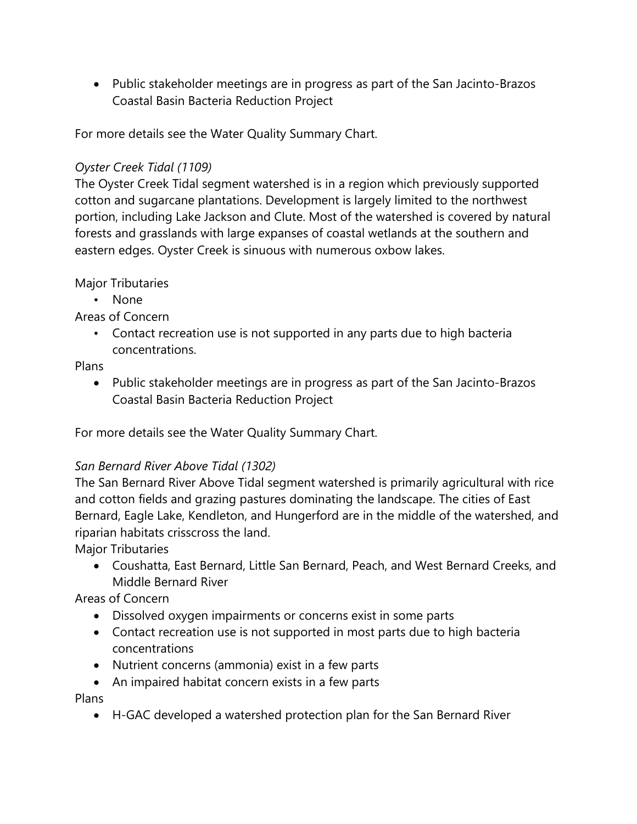• Public stakeholder meetings are in progress as part of the San Jacinto-Brazos Coastal Basin Bacteria Reduction Project

For more details see the Water Quality Summary Chart.

#### *Oyster Creek Tidal (1109)*

The Oyster Creek Tidal segment watershed is in a region which previously supported cotton and sugarcane plantations. Development is largely limited to the northwest portion, including Lake Jackson and Clute. Most of the watershed is covered by natural forests and grasslands with large expanses of coastal wetlands at the southern and eastern edges. Oyster Creek is sinuous with numerous oxbow lakes.

#### Major Tributaries

• None

## Areas of Concern

• Contact recreation use is not supported in any parts due to high bacteria concentrations.

#### Plans

• Public stakeholder meetings are in progress as part of the San Jacinto-Brazos Coastal Basin Bacteria Reduction Project

For more details see the Water Quality Summary Chart.

## *San Bernard River Above Tidal (1302)*

The San Bernard River Above Tidal segment watershed is primarily agricultural with rice and cotton fields and grazing pastures dominating the landscape. The cities of East Bernard, Eagle Lake, Kendleton, and Hungerford are in the middle of the watershed, and riparian habitats crisscross the land.

Major Tributaries

• Coushatta, East Bernard, Little San Bernard, Peach, and West Bernard Creeks, and Middle Bernard River

## Areas of Concern

- Dissolved oxygen impairments or concerns exist in some parts
- Contact recreation use is not supported in most parts due to high bacteria concentrations
- Nutrient concerns (ammonia) exist in a few parts
- An impaired habitat concern exists in a few parts

Plans

• H-GAC developed a watershed protection plan for the San Bernard River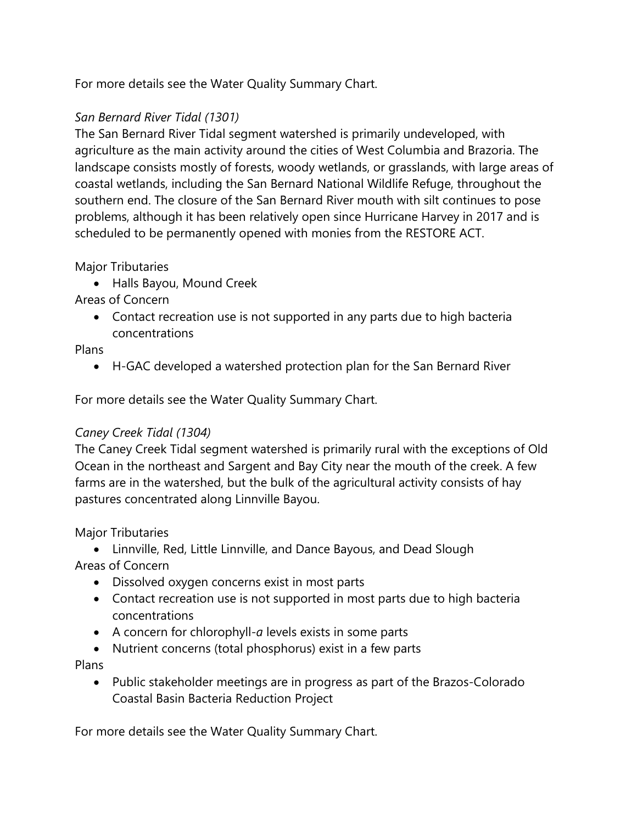For more details see the Water Quality Summary Chart.

## *San Bernard River Tidal (1301)*

The San Bernard River Tidal segment watershed is primarily undeveloped, with agriculture as the main activity around the cities of West Columbia and Brazoria. The landscape consists mostly of forests, woody wetlands, or grasslands, with large areas of coastal wetlands, including the San Bernard National Wildlife Refuge, throughout the southern end. The closure of the San Bernard River mouth with silt continues to pose problems, although it has been relatively open since Hurricane Harvey in 2017 and is scheduled to be permanently opened with monies from the RESTORE ACT.

#### Major Tributaries

• Halls Bayou, Mound Creek

## Areas of Concern

• Contact recreation use is not supported in any parts due to high bacteria concentrations

#### Plans

• H-GAC developed a watershed protection plan for the San Bernard River

For more details see the Water Quality Summary Chart.

## *Caney Creek Tidal (1304)*

The Caney Creek Tidal segment watershed is primarily rural with the exceptions of Old Ocean in the northeast and Sargent and Bay City near the mouth of the creek. A few farms are in the watershed, but the bulk of the agricultural activity consists of hay pastures concentrated along Linnville Bayou.

## Major Tributaries

- Linnville, Red, Little Linnville, and Dance Bayous, and Dead Slough Areas of Concern
	- Dissolved oxygen concerns exist in most parts
	- Contact recreation use is not supported in most parts due to high bacteria concentrations
	- A concern for chlorophyll-*a* levels exists in some parts
	- Nutrient concerns (total phosphorus) exist in a few parts

## Plans

• Public stakeholder meetings are in progress as part of the Brazos-Colorado Coastal Basin Bacteria Reduction Project

For more details see the Water Quality Summary Chart.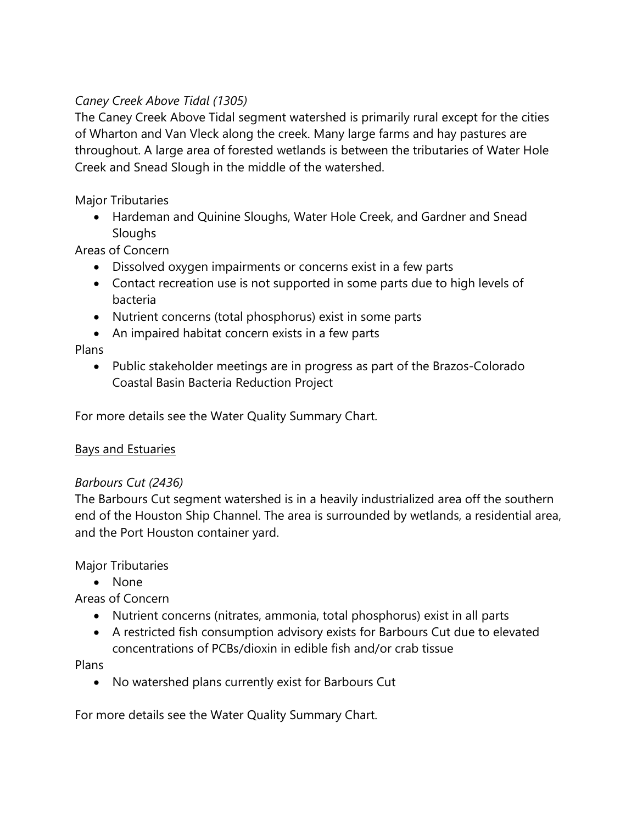## *Caney Creek Above Tidal (1305)*

The Caney Creek Above Tidal segment watershed is primarily rural except for the cities of Wharton and Van Vleck along the creek. Many large farms and hay pastures are throughout. A large area of forested wetlands is between the tributaries of Water Hole Creek and Snead Slough in the middle of the watershed.

Major Tributaries

• Hardeman and Quinine Sloughs, Water Hole Creek, and Gardner and Snead **Sloughs** 

Areas of Concern

- Dissolved oxygen impairments or concerns exist in a few parts
- Contact recreation use is not supported in some parts due to high levels of bacteria
- Nutrient concerns (total phosphorus) exist in some parts
- An impaired habitat concern exists in a few parts

Plans

• Public stakeholder meetings are in progress as part of the Brazos-Colorado Coastal Basin Bacteria Reduction Project

For more details see the Water Quality Summary Chart.

## Bays and Estuaries

## *Barbours Cut (2436)*

The Barbours Cut segment watershed is in a heavily industrialized area off the southern end of the Houston Ship Channel. The area is surrounded by wetlands, a residential area, and the Port Houston container yard.

Major Tributaries

• None

Areas of Concern

- Nutrient concerns (nitrates, ammonia, total phosphorus) exist in all parts
- A restricted fish consumption advisory exists for Barbours Cut due to elevated concentrations of PCBs/dioxin in edible fish and/or crab tissue

Plans

• No watershed plans currently exist for Barbours Cut

For more details see the Water Quality Summary Chart.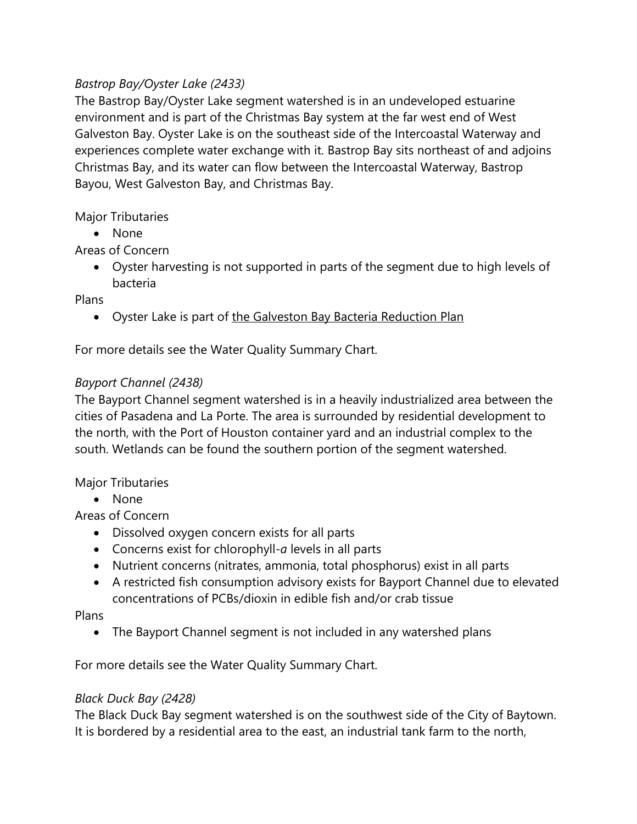## *Bastrop Bay/Oyster Lake (2433)*

The Bastrop Bay/Oyster Lake segment watershed is in an undeveloped estuarine environment and is part of the Christmas Bay system at the far west end of West Galveston Bay. Oyster Lake is on the southeast side of the Intercoastal Waterway and experiences complete water exchange with it. Bastrop Bay sits northeast of and adjoins Christmas Bay, and its water can flow between the Intercoastal Waterway, Bastrop Bayou, West Galveston Bay, and Christmas Bay.

#### Major Tributaries

• None

## Areas of Concern

• Oyster harvesting is not supported in parts of the segment due to high levels of bacteria

#### Plans

• Oyster Lake is part of the Galveston Bay Bacteria Reduction Plan

For more details see the Water Quality Summary Chart.

## *Bayport Channel (2438)*

The Bayport Channel segment watershed is in a heavily industrialized area between the cities of Pasadena and La Porte. The area is surrounded by residential development to the north, with the Port of Houston container yard and an industrial complex to the south. Wetlands can be found the southern portion of the segment watershed.

#### Major Tributaries

• None

Areas of Concern

- Dissolved oxygen concern exists for all parts
- Concerns exist for chlorophyll-*a* levels in all parts
- Nutrient concerns (nitrates, ammonia, total phosphorus) exist in all parts
- A restricted fish consumption advisory exists for Bayport Channel due to elevated concentrations of PCBs/dioxin in edible fish and/or crab tissue

#### Plans

• The Bayport Channel segment is not included in any watershed plans

For more details see the Water Quality Summary Chart.

#### *Black Duck Bay (2428)*

The Black Duck Bay segment watershed is on the southwest side of the City of Baytown. It is bordered by a residential area to the east, an industrial tank farm to the north,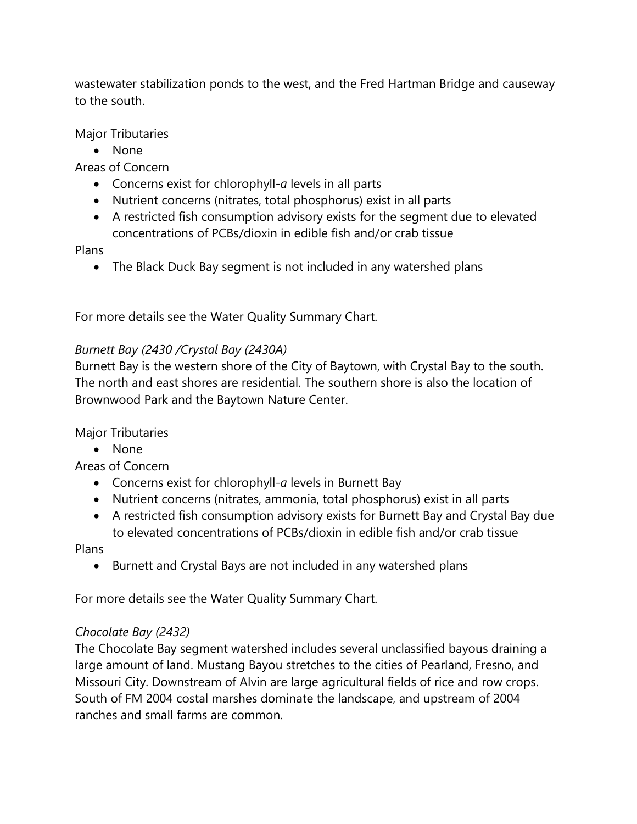wastewater stabilization ponds to the west, and the Fred Hartman Bridge and causeway to the south.

Major Tributaries

• None

Areas of Concern

- Concerns exist for chlorophyll-*a* levels in all parts
- Nutrient concerns (nitrates, total phosphorus) exist in all parts
- A restricted fish consumption advisory exists for the segment due to elevated concentrations of PCBs/dioxin in edible fish and/or crab tissue

Plans

• The Black Duck Bay segment is not included in any watershed plans

For more details see the Water Quality Summary Chart.

## *Burnett Bay (2430 /Crystal Bay (2430A)*

Burnett Bay is the western shore of the City of Baytown, with Crystal Bay to the south. The north and east shores are residential. The southern shore is also the location of Brownwood Park and the Baytown Nature Center.

Major Tributaries

• None

Areas of Concern

- Concerns exist for chlorophyll-*a* levels in Burnett Bay
- Nutrient concerns (nitrates, ammonia, total phosphorus) exist in all parts
- A restricted fish consumption advisory exists for Burnett Bay and Crystal Bay due to elevated concentrations of PCBs/dioxin in edible fish and/or crab tissue

Plans

• Burnett and Crystal Bays are not included in any watershed plans

For more details see the Water Quality Summary Chart.

## *Chocolate Bay (2432)*

The Chocolate Bay segment watershed includes several unclassified bayous draining a large amount of land. Mustang Bayou stretches to the cities of Pearland, Fresno, and Missouri City. Downstream of Alvin are large agricultural fields of rice and row crops. South of FM 2004 costal marshes dominate the landscape, and upstream of 2004 ranches and small farms are common.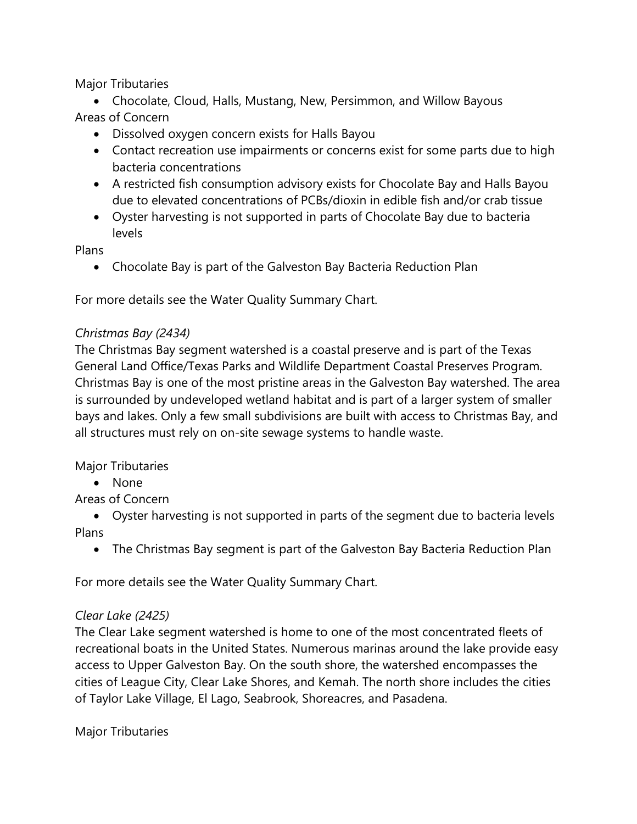Major Tributaries

- Chocolate, Cloud, Halls, Mustang, New, Persimmon, and Willow Bayous Areas of Concern
	- Dissolved oxygen concern exists for Halls Bayou
	- Contact recreation use impairments or concerns exist for some parts due to high bacteria concentrations
	- A restricted fish consumption advisory exists for Chocolate Bay and Halls Bayou due to elevated concentrations of PCBs/dioxin in edible fish and/or crab tissue
	- Oyster harvesting is not supported in parts of Chocolate Bay due to bacteria levels

Plans

• Chocolate Bay is part of the Galveston Bay Bacteria Reduction Plan

For more details see the Water Quality Summary Chart.

## *Christmas Bay (2434)*

The Christmas Bay segment watershed is a coastal preserve and is part of the Texas General Land Office/Texas Parks and Wildlife Department Coastal Preserves Program. Christmas Bay is one of the most pristine areas in the Galveston Bay watershed. The area is surrounded by undeveloped wetland habitat and is part of a larger system of smaller bays and lakes. Only a few small subdivisions are built with access to Christmas Bay, and all structures must rely on on-site sewage systems to handle waste.

Major Tributaries

• None

Areas of Concern

- Oyster harvesting is not supported in parts of the segment due to bacteria levels Plans
	- The Christmas Bay segment is part of the Galveston Bay Bacteria Reduction Plan

For more details see the Water Quality Summary Chart.

## *Clear Lake (2425)*

The Clear Lake segment watershed is home to one of the most concentrated fleets of recreational boats in the United States. Numerous marinas around the lake provide easy access to Upper Galveston Bay. On the south shore, the watershed encompasses the cities of League City, Clear Lake Shores, and Kemah. The north shore includes the cities of Taylor Lake Village, El Lago, Seabrook, Shoreacres, and Pasadena.

Major Tributaries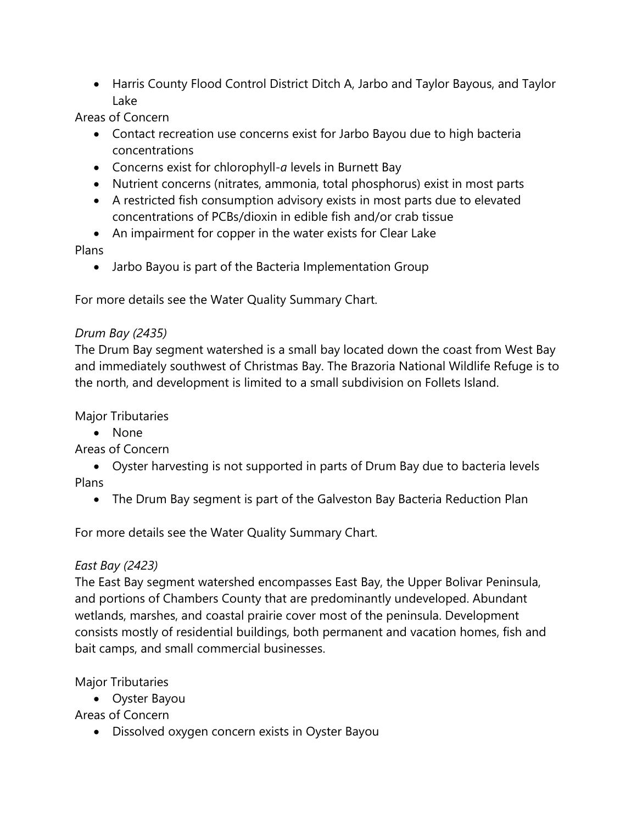• Harris County Flood Control District Ditch A, Jarbo and Taylor Bayous, and Taylor Lake

Areas of Concern

- Contact recreation use concerns exist for Jarbo Bayou due to high bacteria concentrations
- Concerns exist for chlorophyll-*a* levels in Burnett Bay
- Nutrient concerns (nitrates, ammonia, total phosphorus) exist in most parts
- A restricted fish consumption advisory exists in most parts due to elevated concentrations of PCBs/dioxin in edible fish and/or crab tissue
- An impairment for copper in the water exists for Clear Lake

## Plans

• Jarbo Bayou is part of the Bacteria Implementation Group

For more details see the Water Quality Summary Chart.

## *Drum Bay (2435)*

The Drum Bay segment watershed is a small bay located down the coast from West Bay and immediately southwest of Christmas Bay. The Brazoria National Wildlife Refuge is to the north, and development is limited to a small subdivision on Follets Island.

Major Tributaries

• None

Areas of Concern

• Oyster harvesting is not supported in parts of Drum Bay due to bacteria levels Plans

• The Drum Bay segment is part of the Galveston Bay Bacteria Reduction Plan

For more details see the Water Quality Summary Chart.

# *East Bay (2423)*

The East Bay segment watershed encompasses East Bay, the Upper Bolivar Peninsula, and portions of Chambers County that are predominantly undeveloped. Abundant wetlands, marshes, and coastal prairie cover most of the peninsula. Development consists mostly of residential buildings, both permanent and vacation homes, fish and bait camps, and small commercial businesses.

Major Tributaries

• Oyster Bayou

Areas of Concern

• Dissolved oxygen concern exists in Oyster Bayou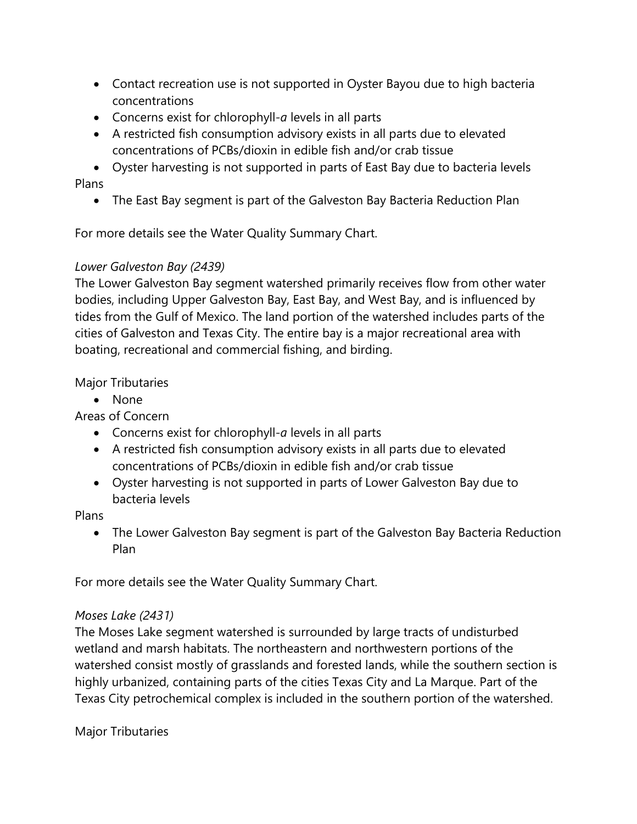- Contact recreation use is not supported in Oyster Bayou due to high bacteria concentrations
- Concerns exist for chlorophyll-*a* levels in all parts
- A restricted fish consumption advisory exists in all parts due to elevated concentrations of PCBs/dioxin in edible fish and/or crab tissue
- Oyster harvesting is not supported in parts of East Bay due to bacteria levels Plans
	- The East Bay segment is part of the Galveston Bay Bacteria Reduction Plan

For more details see the Water Quality Summary Chart.

## *Lower Galveston Bay (2439)*

The Lower Galveston Bay segment watershed primarily receives flow from other water bodies, including Upper Galveston Bay, East Bay, and West Bay, and is influenced by tides from the Gulf of Mexico. The land portion of the watershed includes parts of the cities of Galveston and Texas City. The entire bay is a major recreational area with boating, recreational and commercial fishing, and birding.

## Major Tributaries

• None

Areas of Concern

- Concerns exist for chlorophyll-*a* levels in all parts
- A restricted fish consumption advisory exists in all parts due to elevated concentrations of PCBs/dioxin in edible fish and/or crab tissue
- Oyster harvesting is not supported in parts of Lower Galveston Bay due to bacteria levels

Plans

• The Lower Galveston Bay segment is part of the Galveston Bay Bacteria Reduction Plan

For more details see the Water Quality Summary Chart.

## *Moses Lake (2431)*

The Moses Lake segment watershed is surrounded by large tracts of undisturbed wetland and marsh habitats. The northeastern and northwestern portions of the watershed consist mostly of grasslands and forested lands, while the southern section is highly urbanized, containing parts of the cities Texas City and La Marque. Part of the Texas City petrochemical complex is included in the southern portion of the watershed.

Major Tributaries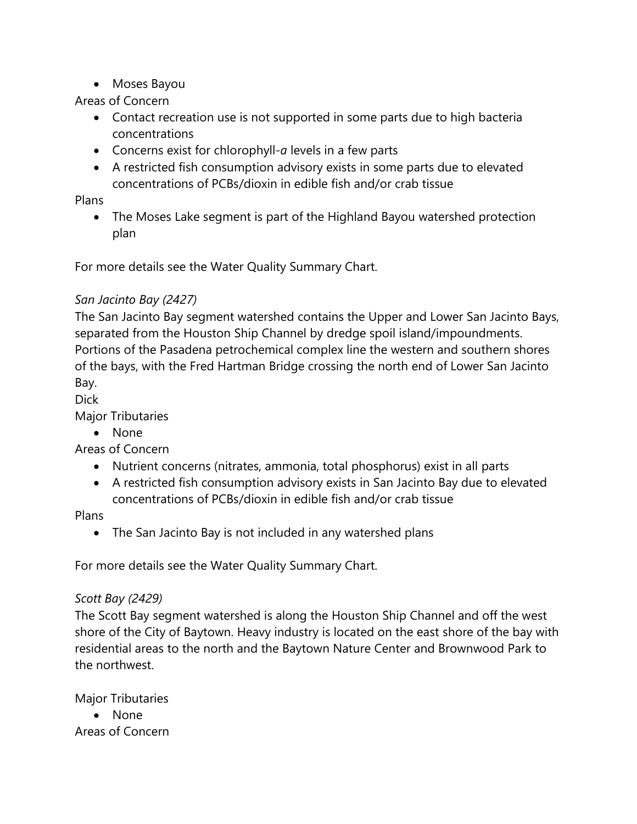• Moses Bayou

#### Areas of Concern

- Contact recreation use is not supported in some parts due to high bacteria concentrations
- Concerns exist for chlorophyll-*a* levels in a few parts
- A restricted fish consumption advisory exists in some parts due to elevated concentrations of PCBs/dioxin in edible fish and/or crab tissue

#### Plans

• The Moses Lake segment is part of the Highland Bayou watershed protection plan

For more details see the Water Quality Summary Chart.

## *San Jacinto Bay (2427)*

The San Jacinto Bay segment watershed contains the Upper and Lower San Jacinto Bays, separated from the Houston Ship Channel by dredge spoil island/impoundments. Portions of the Pasadena petrochemical complex line the western and southern shores of the bays, with the Fred Hartman Bridge crossing the north end of Lower San Jacinto Bay.

Dick

Major Tributaries

• None

Areas of Concern

- Nutrient concerns (nitrates, ammonia, total phosphorus) exist in all parts
- A restricted fish consumption advisory exists in San Jacinto Bay due to elevated concentrations of PCBs/dioxin in edible fish and/or crab tissue

Plans

• The San Jacinto Bay is not included in any watershed plans

For more details see the Water Quality Summary Chart.

## *Scott Bay (2429)*

The Scott Bay segment watershed is along the Houston Ship Channel and off the west shore of the City of Baytown. Heavy industry is located on the east shore of the bay with residential areas to the north and the Baytown Nature Center and Brownwood Park to the northwest.

Major Tributaries

• None Areas of Concern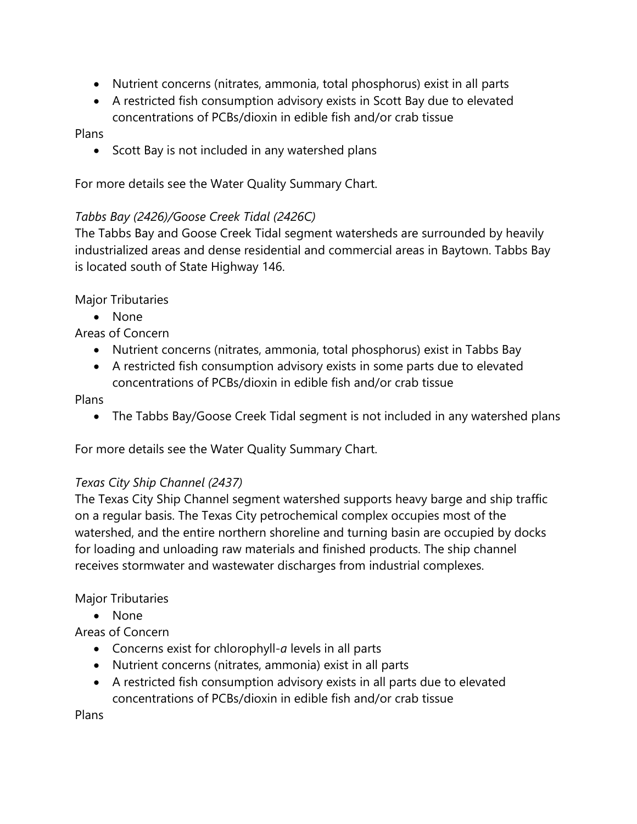- Nutrient concerns (nitrates, ammonia, total phosphorus) exist in all parts
- A restricted fish consumption advisory exists in Scott Bay due to elevated concentrations of PCBs/dioxin in edible fish and/or crab tissue

#### Plans

• Scott Bay is not included in any watershed plans

For more details see the Water Quality Summary Chart.

#### *Tabbs Bay (2426)/Goose Creek Tidal (2426C)*

The Tabbs Bay and Goose Creek Tidal segment watersheds are surrounded by heavily industrialized areas and dense residential and commercial areas in Baytown. Tabbs Bay is located south of State Highway 146.

Major Tributaries

• None

Areas of Concern

- Nutrient concerns (nitrates, ammonia, total phosphorus) exist in Tabbs Bay
- A restricted fish consumption advisory exists in some parts due to elevated concentrations of PCBs/dioxin in edible fish and/or crab tissue

#### Plans

• The Tabbs Bay/Goose Creek Tidal segment is not included in any watershed plans

For more details see the Water Quality Summary Chart.

#### *Texas City Ship Channel (2437)*

The Texas City Ship Channel segment watershed supports heavy barge and ship traffic on a regular basis. The Texas City petrochemical complex occupies most of the watershed, and the entire northern shoreline and turning basin are occupied by docks for loading and unloading raw materials and finished products. The ship channel receives stormwater and wastewater discharges from industrial complexes.

#### Major Tributaries

• None

## Areas of Concern

- Concerns exist for chlorophyll-*a* levels in all parts
- Nutrient concerns (nitrates, ammonia) exist in all parts
- A restricted fish consumption advisory exists in all parts due to elevated concentrations of PCBs/dioxin in edible fish and/or crab tissue

Plans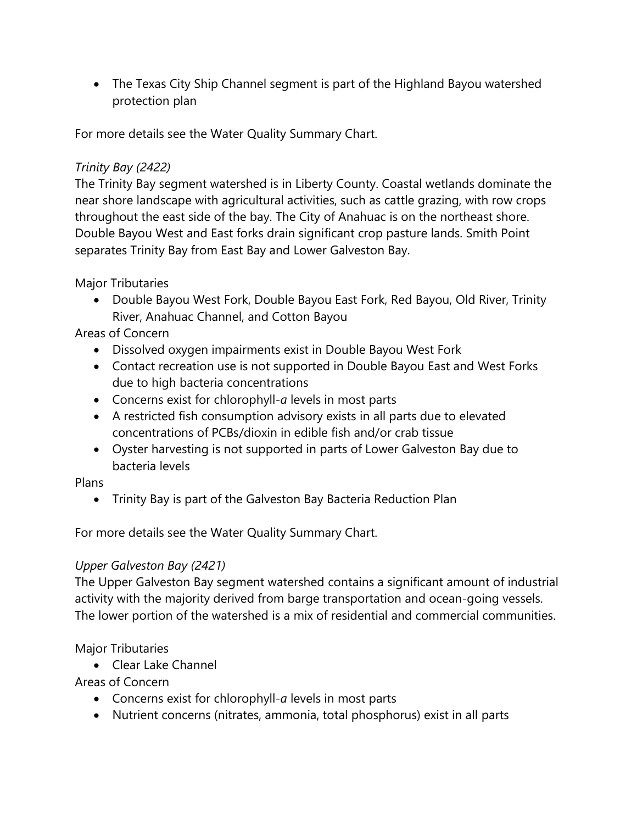• The Texas City Ship Channel segment is part of the Highland Bayou watershed protection plan

For more details see the Water Quality Summary Chart.

#### *Trinity Bay (2422)*

The Trinity Bay segment watershed is in Liberty County. Coastal wetlands dominate the near shore landscape with agricultural activities, such as cattle grazing, with row crops throughout the east side of the bay. The City of Anahuac is on the northeast shore. Double Bayou West and East forks drain significant crop pasture lands. Smith Point separates Trinity Bay from East Bay and Lower Galveston Bay.

Major Tributaries

• Double Bayou West Fork, Double Bayou East Fork, Red Bayou, Old River, Trinity River, Anahuac Channel, and Cotton Bayou

Areas of Concern

- Dissolved oxygen impairments exist in Double Bayou West Fork
- Contact recreation use is not supported in Double Bayou East and West Forks due to high bacteria concentrations
- Concerns exist for chlorophyll-*a* levels in most parts
- A restricted fish consumption advisory exists in all parts due to elevated concentrations of PCBs/dioxin in edible fish and/or crab tissue
- Oyster harvesting is not supported in parts of Lower Galveston Bay due to bacteria levels

## Plans

• Trinity Bay is part of the Galveston Bay Bacteria Reduction Plan

For more details see the Water Quality Summary Chart.

## *Upper Galveston Bay (2421)*

The Upper Galveston Bay segment watershed contains a significant amount of industrial activity with the majority derived from barge transportation and ocean-going vessels. The lower portion of the watershed is a mix of residential and commercial communities.

Major Tributaries

• Clear Lake Channel

- Concerns exist for chlorophyll-*a* levels in most parts
- Nutrient concerns (nitrates, ammonia, total phosphorus) exist in all parts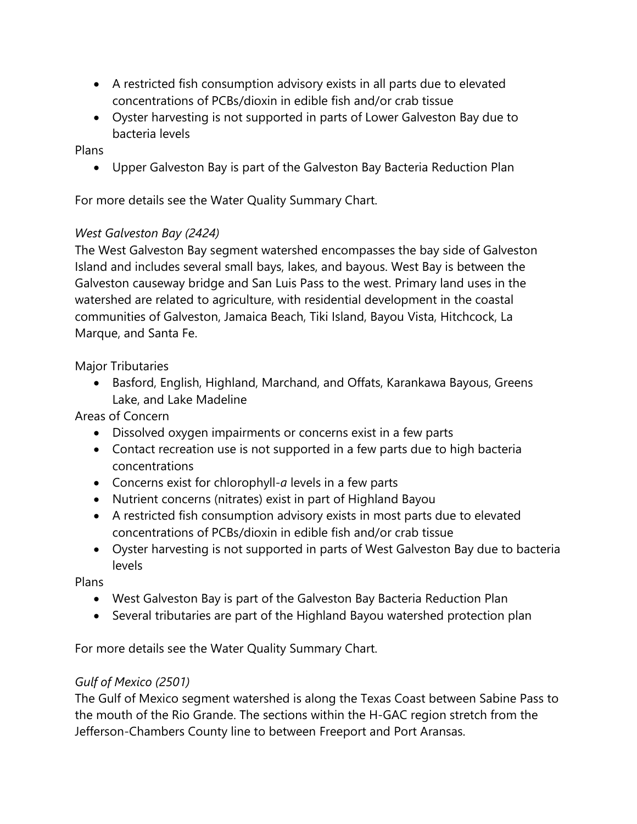- A restricted fish consumption advisory exists in all parts due to elevated concentrations of PCBs/dioxin in edible fish and/or crab tissue
- Oyster harvesting is not supported in parts of Lower Galveston Bay due to bacteria levels

#### Plans

• Upper Galveston Bay is part of the Galveston Bay Bacteria Reduction Plan

For more details see the Water Quality Summary Chart.

#### *West Galveston Bay (2424)*

The West Galveston Bay segment watershed encompasses the bay side of Galveston Island and includes several small bays, lakes, and bayous. West Bay is between the Galveston causeway bridge and San Luis Pass to the west. Primary land uses in the watershed are related to agriculture, with residential development in the coastal communities of Galveston, Jamaica Beach, Tiki Island, Bayou Vista, Hitchcock, La Marque, and Santa Fe.

Major Tributaries

• Basford, English, Highland, Marchand, and Offats, Karankawa Bayous, Greens Lake, and Lake Madeline

Areas of Concern

- Dissolved oxygen impairments or concerns exist in a few parts
- Contact recreation use is not supported in a few parts due to high bacteria concentrations
- Concerns exist for chlorophyll-*a* levels in a few parts
- Nutrient concerns (nitrates) exist in part of Highland Bayou
- A restricted fish consumption advisory exists in most parts due to elevated concentrations of PCBs/dioxin in edible fish and/or crab tissue
- Oyster harvesting is not supported in parts of West Galveston Bay due to bacteria levels

Plans

- West Galveston Bay is part of the Galveston Bay Bacteria Reduction Plan
- Several tributaries are part of the Highland Bayou watershed protection plan

For more details see the Water Quality Summary Chart.

## *Gulf of Mexico (2501)*

The Gulf of Mexico segment watershed is along the Texas Coast between Sabine Pass to the mouth of the Rio Grande. The sections within the H-GAC region stretch from the Jefferson-Chambers County line to between Freeport and Port Aransas.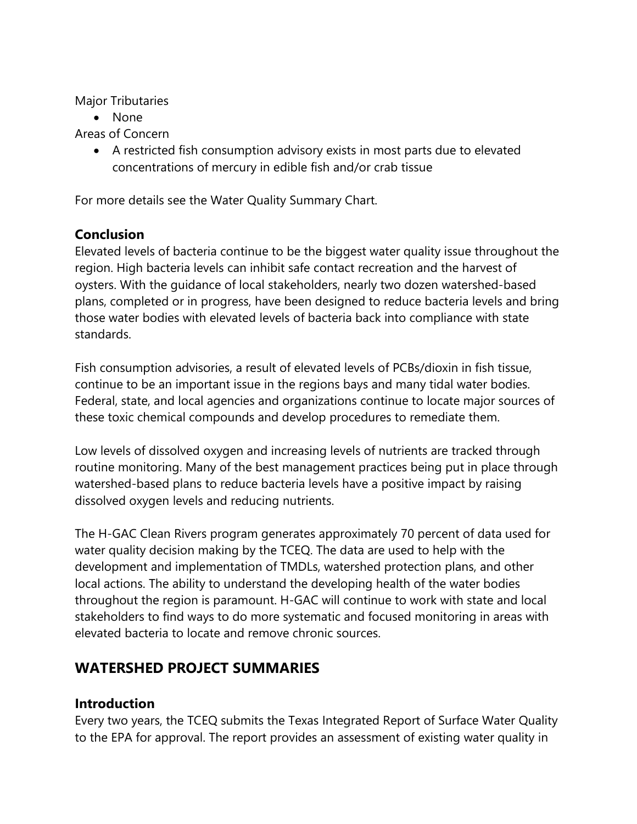Major Tributaries

• None

Areas of Concern

• A restricted fish consumption advisory exists in most parts due to elevated concentrations of mercury in edible fish and/or crab tissue

For more details see the Water Quality Summary Chart.

# **Conclusion**

Elevated levels of bacteria continue to be the biggest water quality issue throughout the region. High bacteria levels can inhibit safe contact recreation and the harvest of oysters. With the guidance of local stakeholders, nearly two dozen watershed-based plans, completed or in progress, have been designed to reduce bacteria levels and bring those water bodies with elevated levels of bacteria back into compliance with state standards.

Fish consumption advisories, a result of elevated levels of PCBs/dioxin in fish tissue, continue to be an important issue in the regions bays and many tidal water bodies. Federal, state, and local agencies and organizations continue to locate major sources of these toxic chemical compounds and develop procedures to remediate them.

Low levels of dissolved oxygen and increasing levels of nutrients are tracked through routine monitoring. Many of the best management practices being put in place through watershed-based plans to reduce bacteria levels have a positive impact by raising dissolved oxygen levels and reducing nutrients.

The H-GAC Clean Rivers program generates approximately 70 percent of data used for water quality decision making by the TCEQ. The data are used to help with the development and implementation of TMDLs, watershed protection plans, and other local actions. The ability to understand the developing health of the water bodies throughout the region is paramount. H-GAC will continue to work with state and local stakeholders to find ways to do more systematic and focused monitoring in areas with elevated bacteria to locate and remove chronic sources.

# **WATERSHED PROJECT SUMMARIES**

# **Introduction**

Every two years, the TCEQ submits the Texas Integrated Report of Surface Water Quality to the EPA for approval. The report provides an assessment of existing water quality in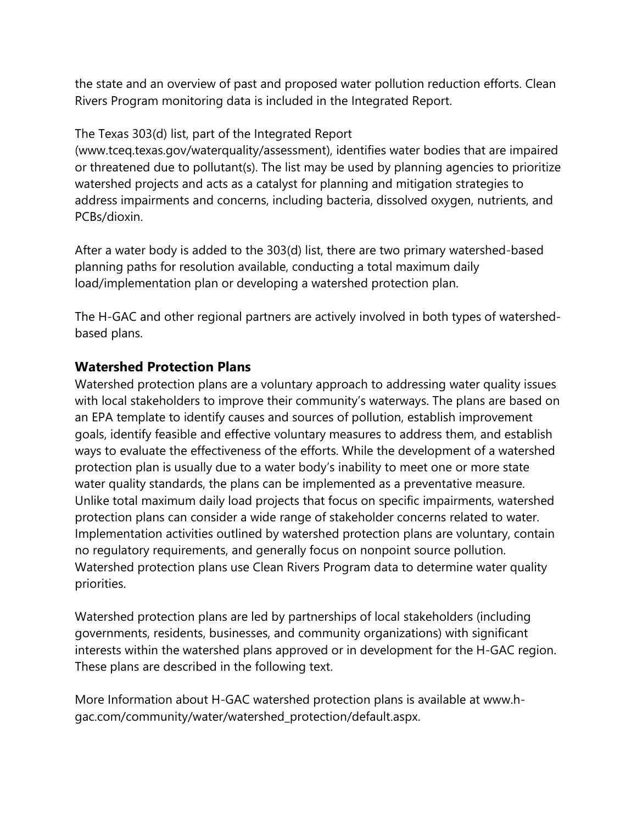the state and an overview of past and proposed water pollution reduction efforts. Clean Rivers Program monitoring data is included in the Integrated Report.

#### The Texas 303(d) list, part of the Integrated Report

(www.tceq.texas.gov/waterquality/assessment), identifies water bodies that are impaired or threatened due to pollutant(s). The list may be used by planning agencies to prioritize watershed projects and acts as a catalyst for planning and mitigation strategies to address impairments and concerns, including bacteria, dissolved oxygen, nutrients, and PCBs/dioxin.

After a water body is added to the 303(d) list, there are two primary watershed-based planning paths for resolution available, conducting a total maximum daily load/implementation plan or developing a watershed protection plan.

The H-GAC and other regional partners are actively involved in both types of watershedbased plans.

## **Watershed Protection Plans**

Watershed protection plans are a voluntary approach to addressing water quality issues with local stakeholders to improve their community's waterways. The plans are based on an EPA template to identify causes and sources of pollution, establish improvement goals, identify feasible and effective voluntary measures to address them, and establish ways to evaluate the effectiveness of the efforts. While the development of a watershed protection plan is usually due to a water body's inability to meet one or more state water quality standards, the plans can be implemented as a preventative measure. Unlike total maximum daily load projects that focus on specific impairments, watershed protection plans can consider a wide range of stakeholder concerns related to water. Implementation activities outlined by watershed protection plans are voluntary, contain no regulatory requirements, and generally focus on nonpoint source pollution. Watershed protection plans use Clean Rivers Program data to determine water quality priorities.

Watershed protection plans are led by partnerships of local stakeholders (including governments, residents, businesses, and community organizations) with significant interests within the watershed plans approved or in development for the H-GAC region. These plans are described in the following text.

More Information about H-GAC watershed protection plans is available at www.hgac.com/community/water/watershed\_protection/default.aspx.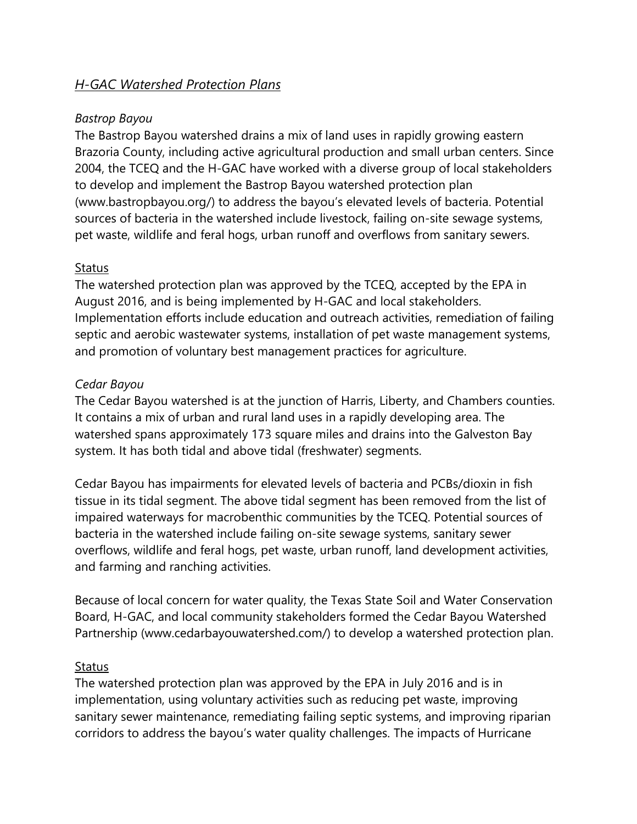## *H-GAC Watershed Protection Plans*

#### *Bastrop Bayou*

The Bastrop Bayou watershed drains a mix of land uses in rapidly growing eastern Brazoria County, including active agricultural production and small urban centers. Since 2004, the TCEQ and the H-GAC have worked with a diverse group of local stakeholders to develop and implement the Bastrop Bayou watershed protection plan (www.bastropbayou.org/) to address the bayou's elevated levels of bacteria. Potential sources of bacteria in the watershed include livestock, failing on-site sewage systems, pet waste, wildlife and feral hogs, urban runoff and overflows from sanitary sewers.

#### **Status**

The watershed protection plan was approved by the TCEQ, accepted by the EPA in August 2016, and is being implemented by H-GAC and local stakeholders. Implementation efforts include education and outreach activities, remediation of failing septic and aerobic wastewater systems, installation of pet waste management systems, and promotion of voluntary best management practices for agriculture.

#### *Cedar Bayou*

The Cedar Bayou watershed is at the junction of Harris, Liberty, and Chambers counties. It contains a mix of urban and rural land uses in a rapidly developing area. The watershed spans approximately 173 square miles and drains into the Galveston Bay system. It has both tidal and above tidal (freshwater) segments.

Cedar Bayou has impairments for elevated levels of bacteria and PCBs/dioxin in fish tissue in its tidal segment. The above tidal segment has been removed from the list of impaired waterways for macrobenthic communities by the TCEQ. Potential sources of bacteria in the watershed include failing on-site sewage systems, sanitary sewer overflows, wildlife and feral hogs, pet waste, urban runoff, land development activities, and farming and ranching activities.

Because of local concern for water quality, the Texas State Soil and Water Conservation Board, H-GAC, and local community stakeholders formed the Cedar Bayou Watershed Partnership (www.cedarbayouwatershed.com/) to develop a watershed protection plan.

#### **Status**

The watershed protection plan was approved by the EPA in July 2016 and is in implementation, using voluntary activities such as reducing pet waste, improving sanitary sewer maintenance, remediating failing septic systems, and improving riparian corridors to address the bayou's water quality challenges. The impacts of Hurricane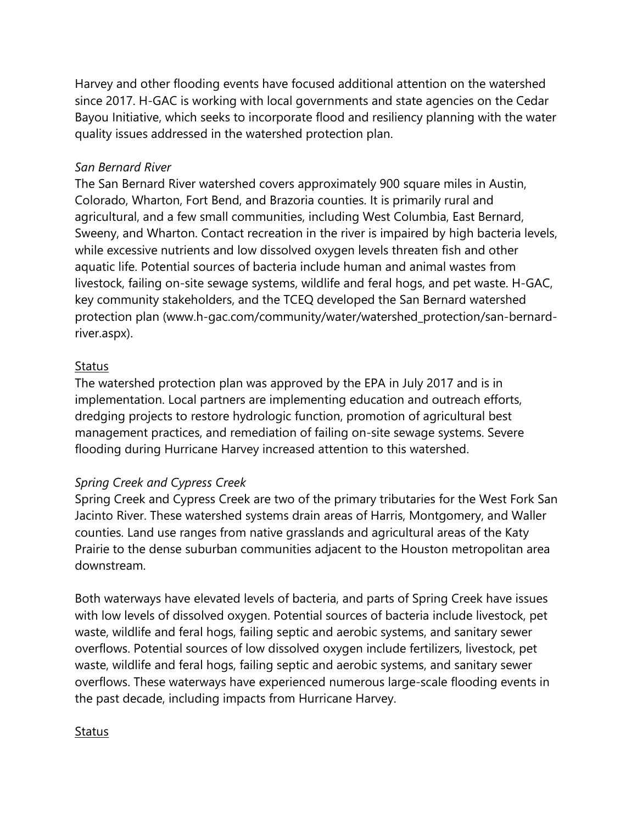Harvey and other flooding events have focused additional attention on the watershed since 2017. H-GAC is working with local governments and state agencies on the Cedar Bayou Initiative, which seeks to incorporate flood and resiliency planning with the water quality issues addressed in the watershed protection plan.

#### *San Bernard River*

The San Bernard River watershed covers approximately 900 square miles in Austin, Colorado, Wharton, Fort Bend, and Brazoria counties. It is primarily rural and agricultural, and a few small communities, including West Columbia, East Bernard, Sweeny, and Wharton. Contact recreation in the river is impaired by high bacteria levels, while excessive nutrients and low dissolved oxygen levels threaten fish and other aquatic life. Potential sources of bacteria include human and animal wastes from livestock, failing on-site sewage systems, wildlife and feral hogs, and pet waste. H-GAC, key community stakeholders, and the TCEQ developed the San Bernard watershed protection plan (www.h-gac.com/community/water/watershed\_protection/san-bernardriver.aspx).

#### **Status**

The watershed protection plan was approved by the EPA in July 2017 and is in implementation. Local partners are implementing education and outreach efforts, dredging projects to restore hydrologic function, promotion of agricultural best management practices, and remediation of failing on-site sewage systems. Severe flooding during Hurricane Harvey increased attention to this watershed.

#### *Spring Creek and Cypress Creek*

Spring Creek and Cypress Creek are two of the primary tributaries for the West Fork San Jacinto River. These watershed systems drain areas of Harris, Montgomery, and Waller counties. Land use ranges from native grasslands and agricultural areas of the Katy Prairie to the dense suburban communities adjacent to the Houston metropolitan area downstream.

Both waterways have elevated levels of bacteria, and parts of Spring Creek have issues with low levels of dissolved oxygen. Potential sources of bacteria include livestock, pet waste, wildlife and feral hogs, failing septic and aerobic systems, and sanitary sewer overflows. Potential sources of low dissolved oxygen include fertilizers, livestock, pet waste, wildlife and feral hogs, failing septic and aerobic systems, and sanitary sewer overflows. These waterways have experienced numerous large-scale flooding events in the past decade, including impacts from Hurricane Harvey.

#### **Status**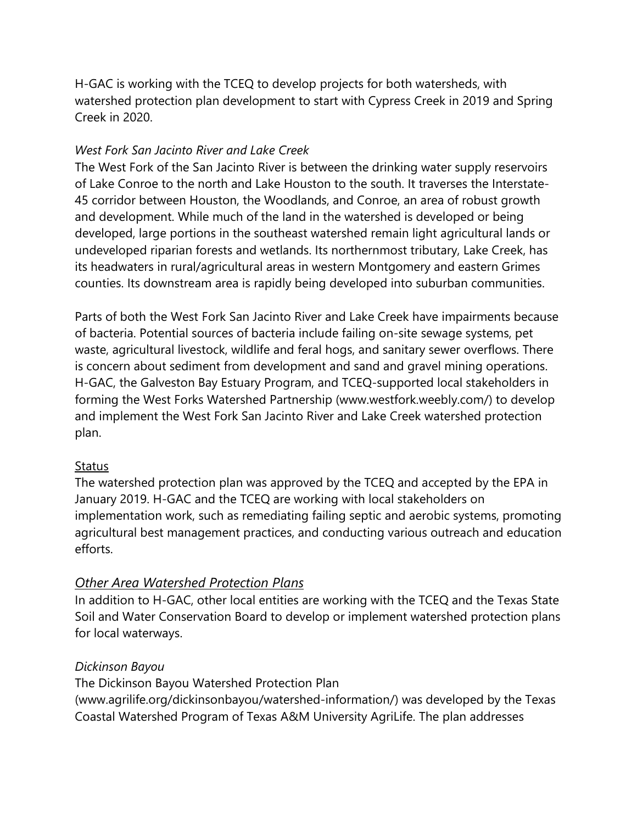H-GAC is working with the TCEQ to develop projects for both watersheds, with watershed protection plan development to start with Cypress Creek in 2019 and Spring Creek in 2020.

## *West Fork San Jacinto River and Lake Creek*

The West Fork of the San Jacinto River is between the drinking water supply reservoirs of Lake Conroe to the north and Lake Houston to the south. It traverses the Interstate-45 corridor between Houston, the Woodlands, and Conroe, an area of robust growth and development. While much of the land in the watershed is developed or being developed, large portions in the southeast watershed remain light agricultural lands or undeveloped riparian forests and wetlands. Its northernmost tributary, Lake Creek, has its headwaters in rural/agricultural areas in western Montgomery and eastern Grimes counties. Its downstream area is rapidly being developed into suburban communities.

Parts of both the West Fork San Jacinto River and Lake Creek have impairments because of bacteria. Potential sources of bacteria include failing on-site sewage systems, pet waste, agricultural livestock, wildlife and feral hogs, and sanitary sewer overflows. There is concern about sediment from development and sand and gravel mining operations. H-GAC, the Galveston Bay Estuary Program, and TCEQ-supported local stakeholders in forming the West Forks Watershed Partnership (www.westfork.weebly.com/) to develop and implement the West Fork San Jacinto River and Lake Creek watershed protection plan.

## **Status**

The watershed protection plan was approved by the TCEQ and accepted by the EPA in January 2019. H-GAC and the TCEQ are working with local stakeholders on implementation work, such as remediating failing septic and aerobic systems, promoting agricultural best management practices, and conducting various outreach and education efforts.

# *Other Area Watershed Protection Plans*

In addition to H-GAC, other local entities are working with the TCEQ and the Texas State Soil and Water Conservation Board to develop or implement watershed protection plans for local waterways.

## *Dickinson Bayou*

The Dickinson Bayou Watershed Protection Plan

(www.agrilife.org/dickinsonbayou/watershed-information/) was developed by the Texas Coastal Watershed Program of Texas A&M University AgriLife. The plan addresses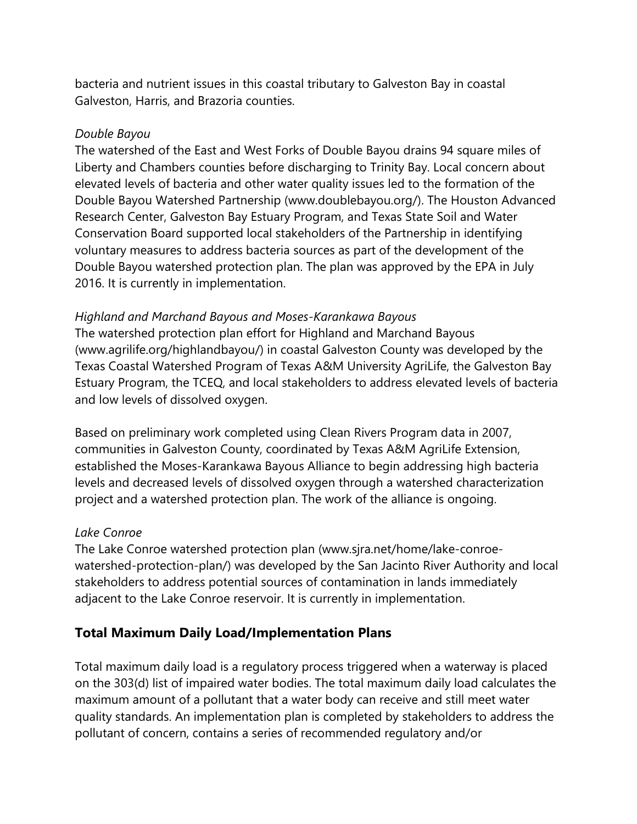bacteria and nutrient issues in this coastal tributary to Galveston Bay in coastal Galveston, Harris, and Brazoria counties.

#### *Double Bayou*

The watershed of the East and West Forks of Double Bayou drains 94 square miles of Liberty and Chambers counties before discharging to Trinity Bay. Local concern about elevated levels of bacteria and other water quality issues led to the formation of the Double Bayou Watershed Partnership (www.doublebayou.org/). The Houston Advanced Research Center, Galveston Bay Estuary Program, and Texas State Soil and Water Conservation Board supported local stakeholders of the Partnership in identifying voluntary measures to address bacteria sources as part of the development of the Double Bayou watershed protection plan. The plan was approved by the EPA in July 2016. It is currently in implementation.

#### *Highland and Marchand Bayous and Moses-Karankawa Bayous*

The watershed protection plan effort for Highland and Marchand Bayous (www.agrilife.org/highlandbayou/) in coastal Galveston County was developed by the Texas Coastal Watershed Program of Texas A&M University AgriLife, the Galveston Bay Estuary Program, the TCEQ, and local stakeholders to address elevated levels of bacteria and low levels of dissolved oxygen.

Based on preliminary work completed using Clean Rivers Program data in 2007, communities in Galveston County, coordinated by Texas A&M AgriLife Extension, established the Moses-Karankawa Bayous Alliance to begin addressing high bacteria levels and decreased levels of dissolved oxygen through a watershed characterization project and a watershed protection plan. The work of the alliance is ongoing.

#### *Lake Conroe*

The Lake Conroe watershed protection plan (www.sjra.net/home/lake-conroewatershed-protection-plan/) was developed by the San Jacinto River Authority and local stakeholders to address potential sources of contamination in lands immediately adjacent to the Lake Conroe reservoir. It is currently in implementation.

## **Total Maximum Daily Load/Implementation Plans**

Total maximum daily load is a regulatory process triggered when a waterway is placed on the 303(d) list of impaired water bodies. The total maximum daily load calculates the maximum amount of a pollutant that a water body can receive and still meet water quality standards. An implementation plan is completed by stakeholders to address the pollutant of concern, contains a series of recommended regulatory and/or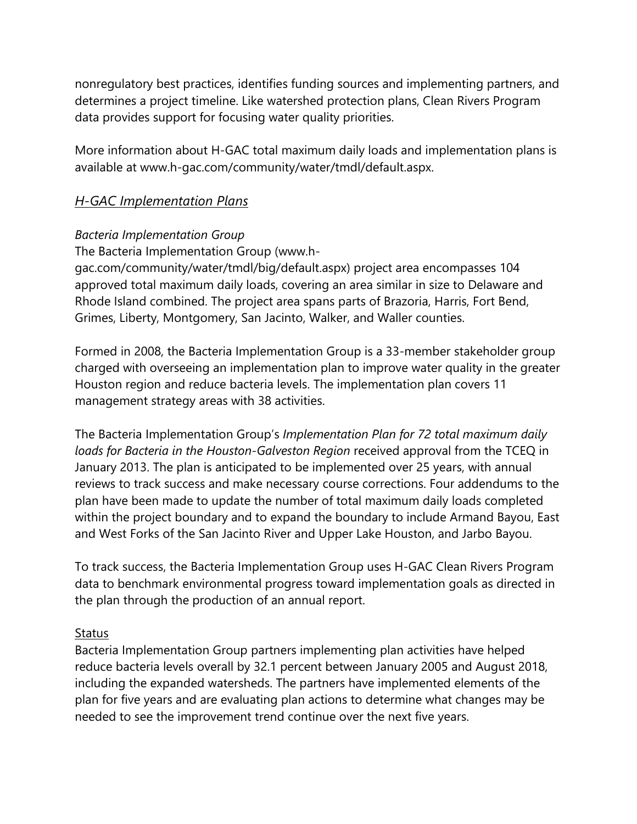nonregulatory best practices, identifies funding sources and implementing partners, and determines a project timeline. Like watershed protection plans, Clean Rivers Program data provides support for focusing water quality priorities.

More information about H-GAC total maximum daily loads and implementation plans is available at www.h-gac.com/community/water/tmdl/default.aspx.

## *H-GAC Implementation Plans*

#### *Bacteria Implementation Group*

The Bacteria Implementation Group (www.h-

gac.com/community/water/tmdl/big/default.aspx) project area encompasses 104 approved total maximum daily loads, covering an area similar in size to Delaware and Rhode Island combined. The project area spans parts of Brazoria, Harris, Fort Bend, Grimes, Liberty, Montgomery, San Jacinto, Walker, and Waller counties.

Formed in 2008, the Bacteria Implementation Group is a 33-member stakeholder group charged with overseeing an implementation plan to improve water quality in the greater Houston region and reduce bacteria levels. The implementation plan covers 11 management strategy areas with 38 activities.

The Bacteria Implementation Group's *Implementation Plan for 72 total maximum daily loads for Bacteria in the Houston-Galveston Region* received approval from the TCEQ in January 2013. The plan is anticipated to be implemented over 25 years, with annual reviews to track success and make necessary course corrections. Four addendums to the plan have been made to update the number of total maximum daily loads completed within the project boundary and to expand the boundary to include Armand Bayou, East and West Forks of the San Jacinto River and Upper Lake Houston, and Jarbo Bayou.

To track success, the Bacteria Implementation Group uses H-GAC Clean Rivers Program data to benchmark environmental progress toward implementation goals as directed in the plan through the production of an annual report.

#### **Status**

Bacteria Implementation Group partners implementing plan activities have helped reduce bacteria levels overall by 32.1 percent between January 2005 and August 2018, including the expanded watersheds. The partners have implemented elements of the plan for five years and are evaluating plan actions to determine what changes may be needed to see the improvement trend continue over the next five years.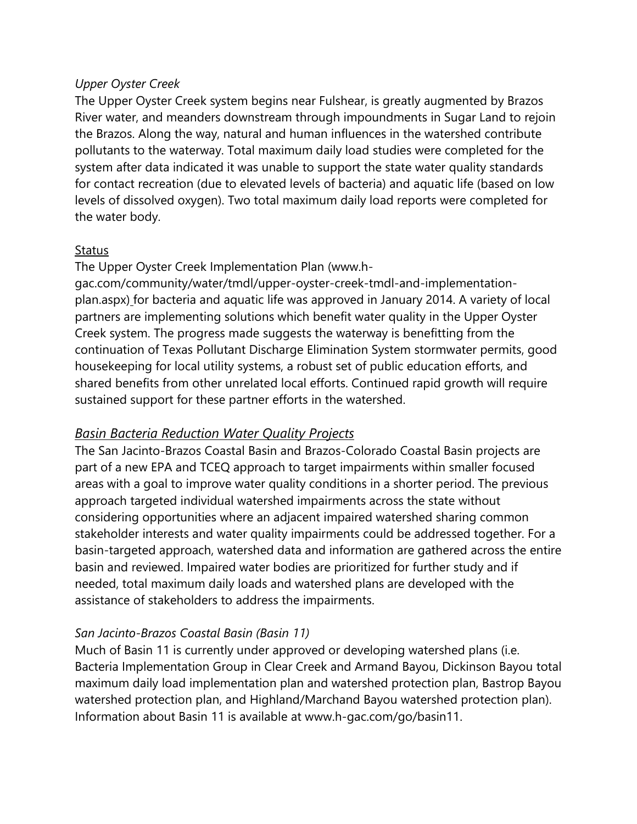#### *Upper Oyster Creek*

The Upper Oyster Creek system begins near Fulshear, is greatly augmented by Brazos River water, and meanders downstream through impoundments in Sugar Land to rejoin the Brazos. Along the way, natural and human influences in the watershed contribute pollutants to the waterway. Total maximum daily load studies were completed for the system after data indicated it was unable to support the state water quality standards for contact recreation (due to elevated levels of bacteria) and aquatic life (based on low levels of dissolved oxygen). Two total maximum daily load reports were completed for the water body.

#### Status

The Upper Oyster Creek Implementation Plan (www.h-

gac.com/community/water/tmdl/upper-oyster-creek-tmdl-and-implementationplan.aspx) for bacteria and aquatic life was approved in January 2014. A variety of local partners are implementing solutions which benefit water quality in the Upper Oyster Creek system. The progress made suggests the waterway is benefitting from the continuation of Texas Pollutant Discharge Elimination System stormwater permits, good housekeeping for local utility systems, a robust set of public education efforts, and shared benefits from other unrelated local efforts. Continued rapid growth will require sustained support for these partner efforts in the watershed.

#### *Basin Bacteria Reduction Water Quality Projects*

The San Jacinto-Brazos Coastal Basin and Brazos-Colorado Coastal Basin projects are part of a new EPA and TCEQ approach to target impairments within smaller focused areas with a goal to improve water quality conditions in a shorter period. The previous approach targeted individual watershed impairments across the state without considering opportunities where an adjacent impaired watershed sharing common stakeholder interests and water quality impairments could be addressed together. For a basin-targeted approach, watershed data and information are gathered across the entire basin and reviewed. Impaired water bodies are prioritized for further study and if needed, total maximum daily loads and watershed plans are developed with the assistance of stakeholders to address the impairments.

#### *San Jacinto-Brazos Coastal Basin (Basin 11)*

Much of Basin 11 is currently under approved or developing watershed plans (i.e. Bacteria Implementation Group in Clear Creek and Armand Bayou, Dickinson Bayou total maximum daily load implementation plan and watershed protection plan, Bastrop Bayou watershed protection plan, and Highland/Marchand Bayou watershed protection plan). Information about Basin 11 is available at www.h-gac.com/go/basin11.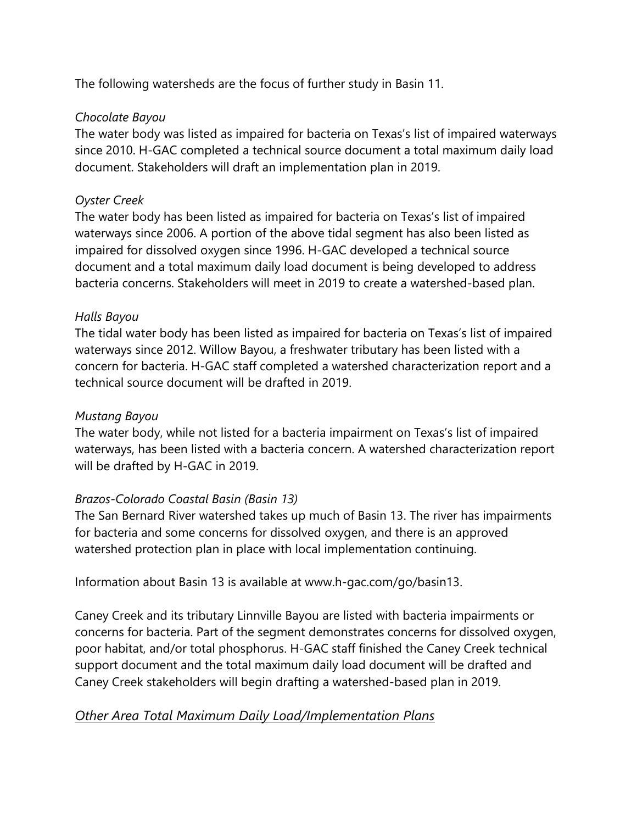The following watersheds are the focus of further study in Basin 11.

#### *Chocolate Bayou*

The water body was listed as impaired for bacteria on Texas's list of impaired waterways since 2010. H-GAC completed a technical source document a total maximum daily load document. Stakeholders will draft an implementation plan in 2019.

## *Oyster Creek*

The water body has been listed as impaired for bacteria on Texas's list of impaired waterways since 2006. A portion of the above tidal segment has also been listed as impaired for dissolved oxygen since 1996. H-GAC developed a technical source document and a total maximum daily load document is being developed to address bacteria concerns. Stakeholders will meet in 2019 to create a watershed-based plan.

#### *Halls Bayou*

The tidal water body has been listed as impaired for bacteria on Texas's list of impaired waterways since 2012. Willow Bayou, a freshwater tributary has been listed with a concern for bacteria. H-GAC staff completed a watershed characterization report and a technical source document will be drafted in 2019.

#### *Mustang Bayou*

The water body, while not listed for a bacteria impairment on Texas's list of impaired waterways, has been listed with a bacteria concern. A watershed characterization report will be drafted by H-GAC in 2019.

## *Brazos-Colorado Coastal Basin (Basin 13)*

The San Bernard River watershed takes up much of Basin 13. The river has impairments for bacteria and some concerns for dissolved oxygen, and there is an approved watershed protection plan in place with local implementation continuing.

Information about Basin 13 is available at www.h-gac.com/go/basin13.

Caney Creek and its tributary Linnville Bayou are listed with bacteria impairments or concerns for bacteria. Part of the segment demonstrates concerns for dissolved oxygen, poor habitat, and/or total phosphorus. H-GAC staff finished the Caney Creek technical support document and the total maximum daily load document will be drafted and Caney Creek stakeholders will begin drafting a watershed-based plan in 2019.

## *Other Area Total Maximum Daily Load/Implementation Plans*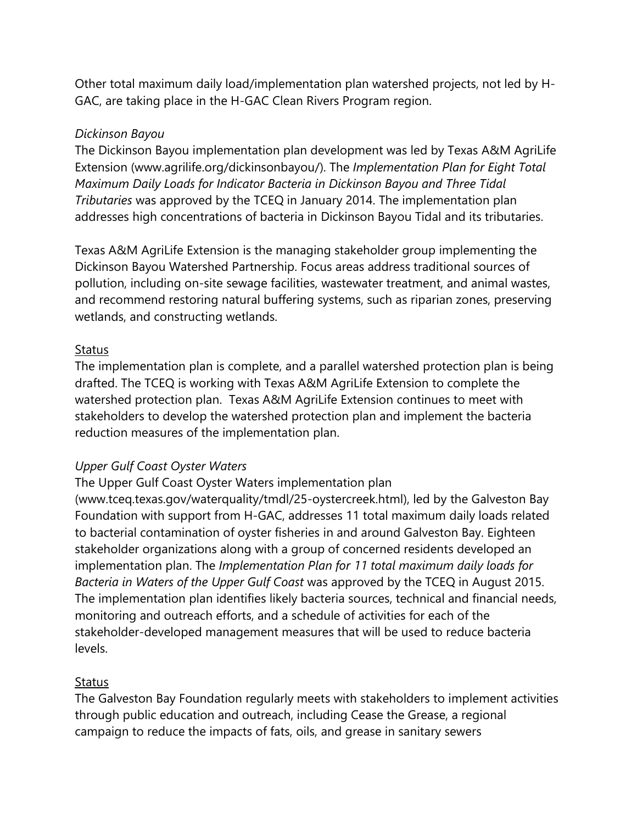Other total maximum daily load/implementation plan watershed projects, not led by H-GAC, are taking place in the H-GAC Clean Rivers Program region.

#### *Dickinson Bayou*

The Dickinson Bayou implementation plan development was led by Texas A&M AgriLife Extension (www.agrilife.org/dickinsonbayou/). The *Implementation Plan for Eight Total Maximum Daily Loads for Indicator Bacteria in Dickinson Bayou and Three Tidal Tributaries* was approved by the TCEQ in January 2014. The implementation plan addresses high concentrations of bacteria in Dickinson Bayou Tidal and its tributaries.

Texas A&M AgriLife Extension is the managing stakeholder group implementing the Dickinson Bayou Watershed Partnership. Focus areas address traditional sources of pollution, including on-site sewage facilities, wastewater treatment, and animal wastes, and recommend restoring natural buffering systems, such as riparian zones, preserving wetlands, and constructing wetlands.

#### **Status**

The implementation plan is complete, and a parallel watershed protection plan is being drafted. The TCEQ is working with Texas A&M AgriLife Extension to complete the watershed protection plan. Texas A&M AgriLife Extension continues to meet with stakeholders to develop the watershed protection plan and implement the bacteria reduction measures of the implementation plan.

#### *Upper Gulf Coast Oyster Waters*

The Upper Gulf Coast Oyster Waters implementation plan

(www.tceq.texas.gov/waterquality/tmdl/25-oystercreek.html), led by the Galveston Bay Foundation with support from H-GAC, addresses 11 total maximum daily loads related to bacterial contamination of oyster fisheries in and around Galveston Bay. Eighteen stakeholder organizations along with a group of concerned residents developed an implementation plan. The *Implementation Plan for 11 total maximum daily loads for Bacteria in Waters of the Upper Gulf Coast* was approved by the TCEQ in August 2015. The implementation plan identifies likely bacteria sources, technical and financial needs, monitoring and outreach efforts, and a schedule of activities for each of the stakeholder-developed management measures that will be used to reduce bacteria levels.

#### **Status**

The Galveston Bay Foundation regularly meets with stakeholders to implement activities through public education and outreach, including Cease the Grease, a regional campaign to reduce the impacts of fats, oils, and grease in sanitary sewers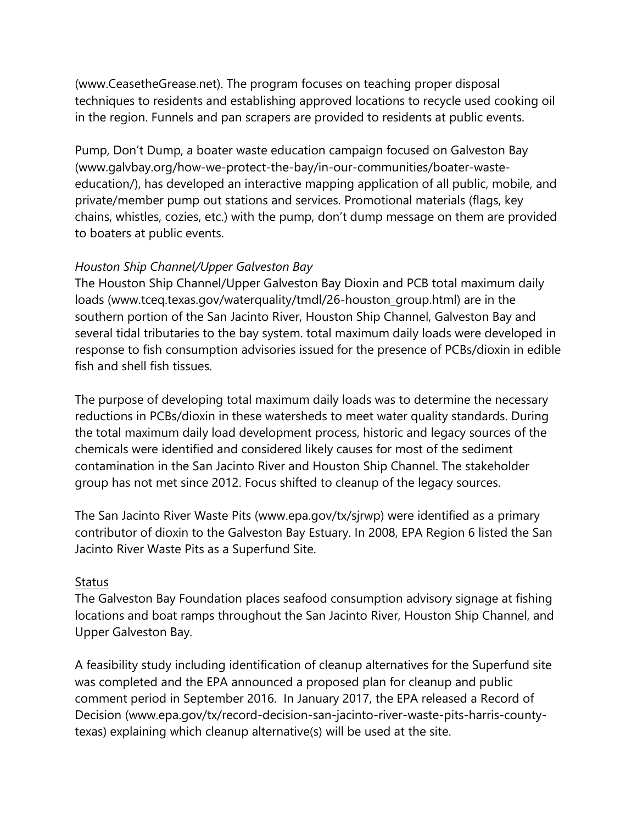(www.CeasetheGrease.net). The program focuses on teaching proper disposal techniques to residents and establishing approved locations to recycle used cooking oil in the region. Funnels and pan scrapers are provided to residents at public events.

Pump, Don't Dump, a boater waste education campaign focused on Galveston Bay (www.galvbay.org/how-we-protect-the-bay/in-our-communities/boater-wasteeducation/), has developed an interactive mapping application of all public, mobile, and private/member pump out stations and services. Promotional materials (flags, key chains, whistles, cozies, etc.) with the pump, don't dump message on them are provided to boaters at public events.

#### *Houston Ship Channel/Upper Galveston Bay*

The Houston Ship Channel/Upper Galveston Bay Dioxin and PCB total maximum daily loads (www.tceq.texas.gov/waterquality/tmdl/26-houston\_group.html) are in the southern portion of the San Jacinto River, Houston Ship Channel, Galveston Bay and several tidal tributaries to the bay system. total maximum daily loads were developed in response to fish consumption advisories issued for the presence of PCBs/dioxin in edible fish and shell fish tissues.

The purpose of developing total maximum daily loads was to determine the necessary reductions in PCBs/dioxin in these watersheds to meet water quality standards. During the total maximum daily load development process, historic and legacy sources of the chemicals were identified and considered likely causes for most of the sediment contamination in the San Jacinto River and Houston Ship Channel. The stakeholder group has not met since 2012. Focus shifted to cleanup of the legacy sources.

The San Jacinto River Waste Pits (www.epa.gov/tx/sjrwp) were identified as a primary contributor of dioxin to the Galveston Bay Estuary. In 2008, EPA Region 6 listed the San Jacinto River Waste Pits as a Superfund Site.

#### Status

The Galveston Bay Foundation places seafood consumption advisory signage at fishing locations and boat ramps throughout the San Jacinto River, Houston Ship Channel, and Upper Galveston Bay.

A feasibility study including identification of cleanup alternatives for the Superfund site was completed and the EPA announced a proposed plan for cleanup and public comment period in September 2016. In January 2017, the EPA released a Record of Decision (www.epa.gov/tx/record-decision-san-jacinto-river-waste-pits-harris-countytexas) explaining which cleanup alternative(s) will be used at the site.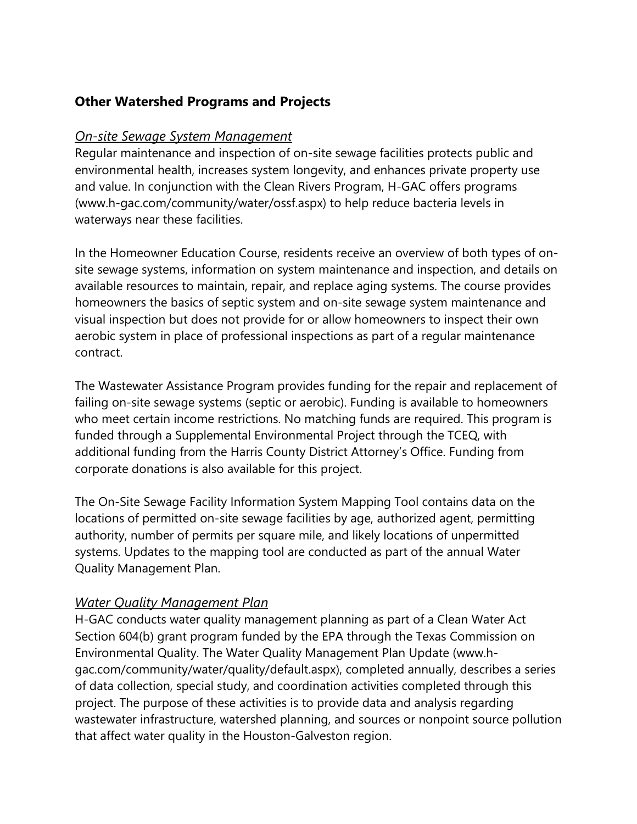# **Other Watershed Programs and Projects**

#### *On-site Sewage System Management*

Regular maintenance and inspection of on-site sewage facilities protects public and environmental health, increases system longevity, and enhances private property use and value. In conjunction with the Clean Rivers Program, H-GAC offers programs (www.h-gac.com/community/water/ossf.aspx) to help reduce bacteria levels in waterways near these facilities.

In the Homeowner Education Course, residents receive an overview of both types of onsite sewage systems, information on system maintenance and inspection, and details on available resources to maintain, repair, and replace aging systems. The course provides homeowners the basics of septic system and on-site sewage system maintenance and visual inspection but does not provide for or allow homeowners to inspect their own aerobic system in place of professional inspections as part of a regular maintenance contract.

The Wastewater Assistance Program provides funding for the repair and replacement of failing on-site sewage systems (septic or aerobic). Funding is available to homeowners who meet certain income restrictions. No matching funds are required. This program is funded through a Supplemental Environmental Project through the TCEQ, with additional funding from the Harris County District Attorney's Office. Funding from corporate donations is also available for this project.

The On-Site Sewage Facility Information System Mapping Tool contains data on the locations of permitted on-site sewage facilities by age, authorized agent, permitting authority, number of permits per square mile, and likely locations of unpermitted systems. Updates to the mapping tool are conducted as part of the annual Water Quality Management Plan.

## *Water Quality Management Plan*

H-GAC conducts water quality management planning as part of a Clean Water Act Section 604(b) grant program funded by the EPA through the Texas Commission on Environmental Quality. The Water Quality Management Plan Update (www.hgac.com/community/water/quality/default.aspx), completed annually, describes a series of data collection, special study, and coordination activities completed through this project. The purpose of these activities is to provide data and analysis regarding wastewater infrastructure, watershed planning, and sources or nonpoint source pollution that affect water quality in the Houston-Galveston region.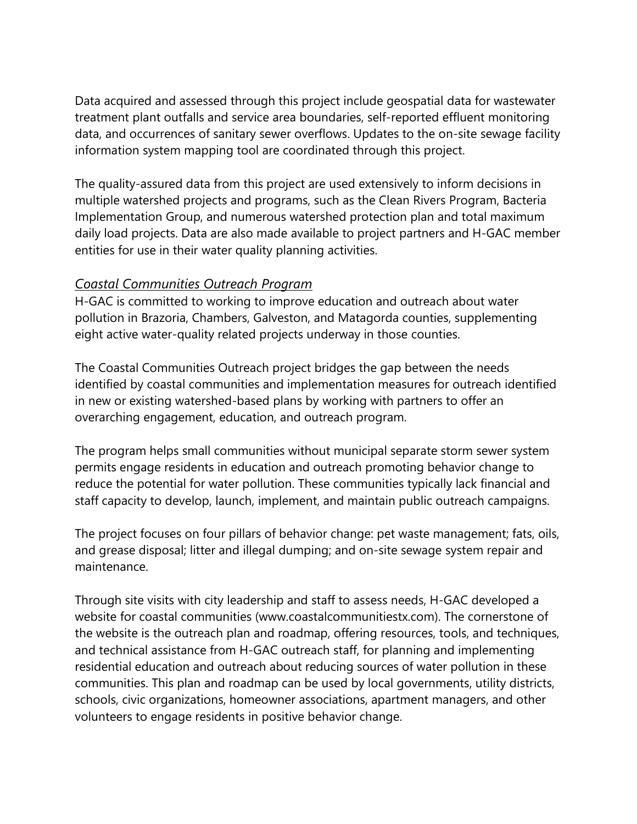Data acquired and assessed through this project include geospatial data for wastewater treatment plant outfalls and service area boundaries, self-reported effluent monitoring data, and occurrences of sanitary sewer overflows. Updates to the on-site sewage facility information system mapping tool are coordinated through this project.

The quality-assured data from this project are used extensively to inform decisions in multiple watershed projects and programs, such as the Clean Rivers Program, Bacteria Implementation Group, and numerous watershed protection plan and total maximum daily load projects. Data are also made available to project partners and H-GAC member entities for use in their water quality planning activities.

#### *Coastal Communities Outreach Program*

H-GAC is committed to working to improve education and outreach about water pollution in Brazoria, Chambers, Galveston, and Matagorda counties, supplementing eight active water-quality related projects underway in those counties.

The Coastal Communities Outreach project bridges the gap between the needs identified by coastal communities and implementation measures for outreach identified in new or existing watershed-based plans by working with partners to offer an overarching engagement, education, and outreach program.

The program helps small communities without municipal separate storm sewer system permits engage residents in education and outreach promoting behavior change to reduce the potential for water pollution. These communities typically lack financial and staff capacity to develop, launch, implement, and maintain public outreach campaigns.

The project focuses on four pillars of behavior change: pet waste management; fats, oils, and grease disposal; litter and illegal dumping; and on-site sewage system repair and maintenance.

Through site visits with city leadership and staff to assess needs, H-GAC developed a website for coastal communities (www.coastalcommunitiestx.com). The cornerstone of the website is the outreach plan and roadmap, offering resources, tools, and techniques, and technical assistance from H-GAC outreach staff, for planning and implementing residential education and outreach about reducing sources of water pollution in these communities. This plan and roadmap can be used by local governments, utility districts, schools, civic organizations, homeowner associations, apartment managers, and other volunteers to engage residents in positive behavior change.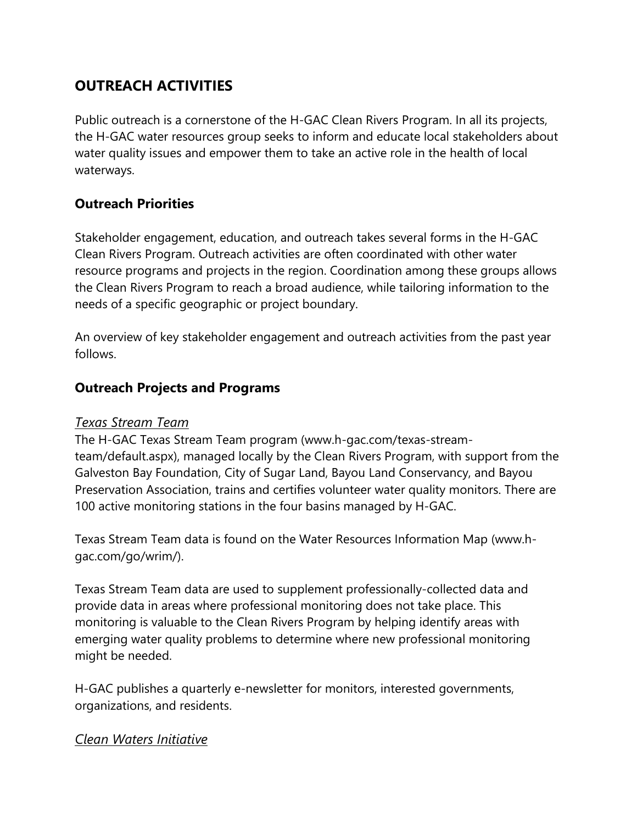# **OUTREACH ACTIVITIES**

Public outreach is a cornerstone of the H-GAC Clean Rivers Program. In all its projects, the H-GAC water resources group seeks to inform and educate local stakeholders about water quality issues and empower them to take an active role in the health of local waterways.

## **Outreach Priorities**

Stakeholder engagement, education, and outreach takes several forms in the H-GAC Clean Rivers Program. Outreach activities are often coordinated with other water resource programs and projects in the region. Coordination among these groups allows the Clean Rivers Program to reach a broad audience, while tailoring information to the needs of a specific geographic or project boundary.

An overview of key stakeholder engagement and outreach activities from the past year follows.

## **Outreach Projects and Programs**

#### *Texas Stream Team*

The H-GAC Texas Stream Team program (www.h-gac.com/texas-streamteam/default.aspx), managed locally by the Clean Rivers Program, with support from the Galveston Bay Foundation, City of Sugar Land, Bayou Land Conservancy, and Bayou Preservation Association, trains and certifies volunteer water quality monitors. There are 100 active monitoring stations in the four basins managed by H-GAC.

Texas Stream Team data is found on the Water Resources Information Map (www.hgac.com/go/wrim/).

Texas Stream Team data are used to supplement professionally-collected data and provide data in areas where professional monitoring does not take place. This monitoring is valuable to the Clean Rivers Program by helping identify areas with emerging water quality problems to determine where new professional monitoring might be needed.

H-GAC publishes a quarterly e-newsletter for monitors, interested governments, organizations, and residents.

## *Clean Waters Initiative*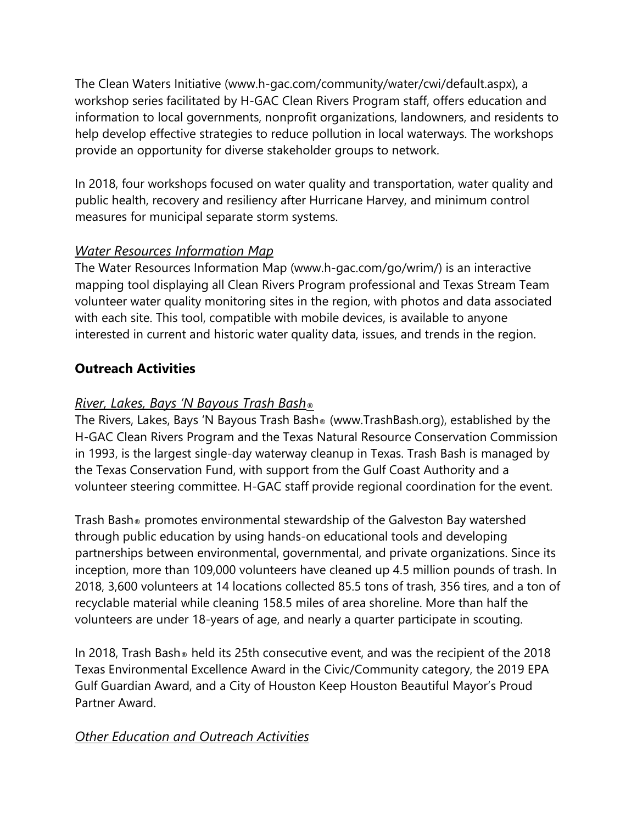The Clean Waters Initiative (www.h-gac.com/community/water/cwi/default.aspx), a workshop series facilitated by H-GAC Clean Rivers Program staff, offers education and information to local governments, nonprofit organizations, landowners, and residents to help develop effective strategies to reduce pollution in local waterways. The workshops provide an opportunity for diverse stakeholder groups to network.

In 2018, four workshops focused on water quality and transportation, water quality and public health, recovery and resiliency after Hurricane Harvey, and minimum control measures for municipal separate storm systems.

# *Water Resources Information Map*

The Water Resources Information Map (www.h-gac.com/go/wrim/) is an interactive mapping tool displaying all Clean Rivers Program professional and Texas Stream Team volunteer water quality monitoring sites in the region, with photos and data associated with each site. This tool, compatible with mobile devices, is available to anyone interested in current and historic water quality data, issues, and trends in the region.

# **Outreach Activities**

# *River, Lakes, Bays 'N Bayous Trash Bash®*

The Rivers, Lakes, Bays 'N Bayous Trash Bash® (www.TrashBash.org), established by the H-GAC Clean Rivers Program and the Texas Natural Resource Conservation Commission in 1993, is the largest single-day waterway cleanup in Texas. Trash Bash is managed by the Texas Conservation Fund, with support from the Gulf Coast Authority and a volunteer steering committee. H-GAC staff provide regional coordination for the event.

Trash Bash® promotes environmental stewardship of the Galveston Bay watershed through public education by using hands-on educational tools and developing partnerships between environmental, governmental, and private organizations. Since its inception, more than 109,000 volunteers have cleaned up 4.5 million pounds of trash. In 2018, 3,600 volunteers at 14 locations collected 85.5 tons of trash, 356 tires, and a ton of recyclable material while cleaning 158.5 miles of area shoreline. More than half the volunteers are under 18-years of age, and nearly a quarter participate in scouting.

In 2018, Trash Bash® held its 25th consecutive event, and was the recipient of the 2018 Texas Environmental Excellence Award in the Civic/Community category, the 2019 EPA Gulf Guardian Award, and a City of Houston Keep Houston Beautiful Mayor's Proud Partner Award.

# *Other Education and Outreach Activities*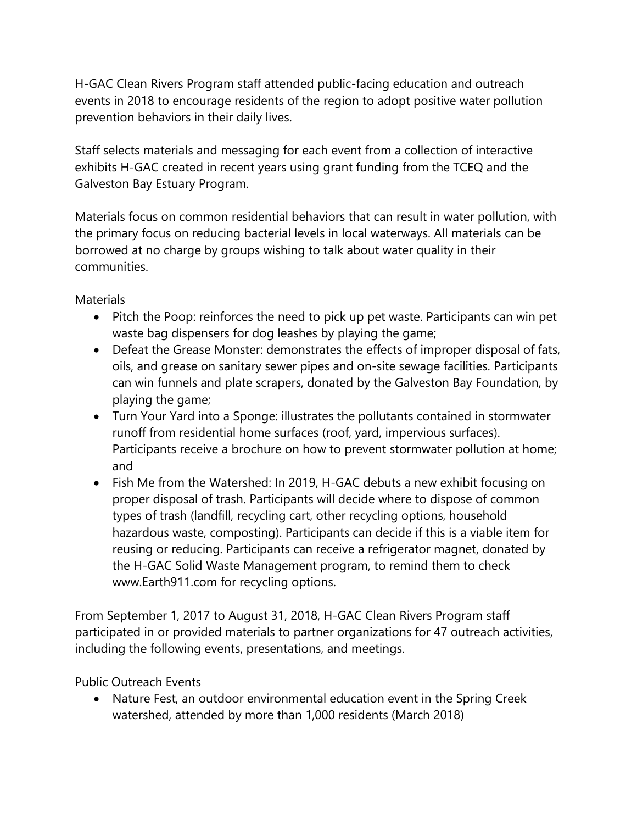H-GAC Clean Rivers Program staff attended public-facing education and outreach events in 2018 to encourage residents of the region to adopt positive water pollution prevention behaviors in their daily lives.

Staff selects materials and messaging for each event from a collection of interactive exhibits H-GAC created in recent years using grant funding from the TCEQ and the Galveston Bay Estuary Program.

Materials focus on common residential behaviors that can result in water pollution, with the primary focus on reducing bacterial levels in local waterways. All materials can be borrowed at no charge by groups wishing to talk about water quality in their communities.

**Materials** 

- Pitch the Poop: reinforces the need to pick up pet waste. Participants can win pet waste bag dispensers for dog leashes by playing the game;
- Defeat the Grease Monster: demonstrates the effects of improper disposal of fats, oils, and grease on sanitary sewer pipes and on-site sewage facilities. Participants can win funnels and plate scrapers, donated by the Galveston Bay Foundation, by playing the game;
- Turn Your Yard into a Sponge: illustrates the pollutants contained in stormwater runoff from residential home surfaces (roof, yard, impervious surfaces). Participants receive a brochure on how to prevent stormwater pollution at home; and
- Fish Me from the Watershed: In 2019, H-GAC debuts a new exhibit focusing on proper disposal of trash. Participants will decide where to dispose of common types of trash (landfill, recycling cart, other recycling options, household hazardous waste, composting). Participants can decide if this is a viable item for reusing or reducing. Participants can receive a refrigerator magnet, donated by the H-GAC Solid Waste Management program, to remind them to check www.Earth911.com for recycling options.

From September 1, 2017 to August 31, 2018, H-GAC Clean Rivers Program staff participated in or provided materials to partner organizations for 47 outreach activities, including the following events, presentations, and meetings.

Public Outreach Events

• Nature Fest, an outdoor environmental education event in the Spring Creek watershed, attended by more than 1,000 residents (March 2018)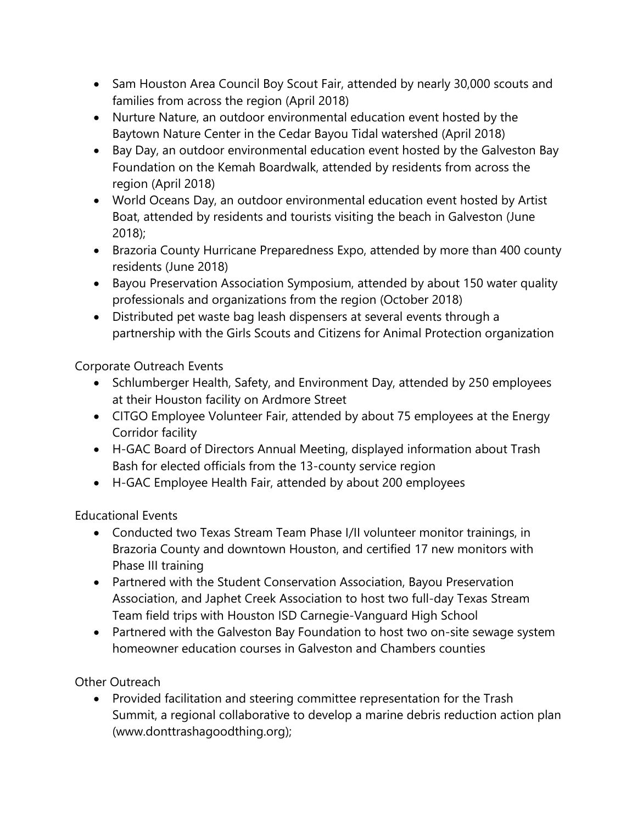- Sam Houston Area Council Boy Scout Fair, attended by nearly 30,000 scouts and families from across the region (April 2018)
- Nurture Nature, an outdoor environmental education event hosted by the Baytown Nature Center in the Cedar Bayou Tidal watershed (April 2018)
- Bay Day, an outdoor environmental education event hosted by the Galveston Bay Foundation on the Kemah Boardwalk, attended by residents from across the region (April 2018)
- World Oceans Day, an outdoor environmental education event hosted by Artist Boat, attended by residents and tourists visiting the beach in Galveston (June 2018);
- Brazoria County Hurricane Preparedness Expo, attended by more than 400 county residents (June 2018)
- Bayou Preservation Association Symposium, attended by about 150 water quality professionals and organizations from the region (October 2018)
- Distributed pet waste bag leash dispensers at several events through a partnership with the Girls Scouts and Citizens for Animal Protection organization

Corporate Outreach Events

- Schlumberger Health, Safety, and Environment Day, attended by 250 employees at their Houston facility on Ardmore Street
- CITGO Employee Volunteer Fair, attended by about 75 employees at the Energy Corridor facility
- H-GAC Board of Directors Annual Meeting, displayed information about Trash Bash for elected officials from the 13-county service region
- H-GAC Employee Health Fair, attended by about 200 employees

Educational Events

- Conducted two Texas Stream Team Phase I/II volunteer monitor trainings, in Brazoria County and downtown Houston, and certified 17 new monitors with Phase III training
- Partnered with the Student Conservation Association, Bayou Preservation Association, and Japhet Creek Association to host two full-day Texas Stream Team field trips with Houston ISD Carnegie-Vanguard High School
- Partnered with the Galveston Bay Foundation to host two on-site sewage system homeowner education courses in Galveston and Chambers counties

Other Outreach

• Provided facilitation and steering committee representation for the Trash Summit, a regional collaborative to develop a marine debris reduction action plan (www.donttrashagoodthing.org);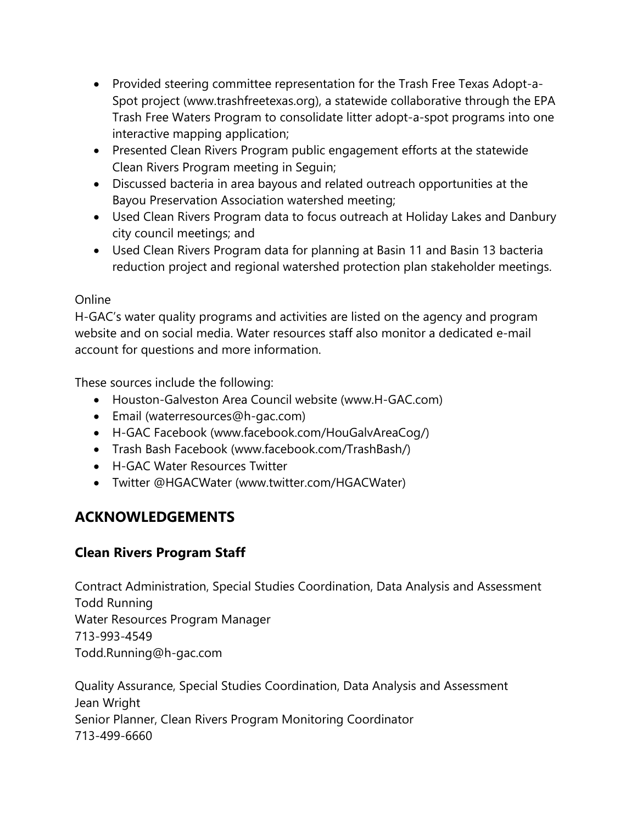- Provided steering committee representation for the Trash Free Texas Adopt-a-Spot project (www.trashfreetexas.org), a statewide collaborative through the EPA Trash Free Waters Program to consolidate litter adopt-a-spot programs into one interactive mapping application;
- Presented Clean Rivers Program public engagement efforts at the statewide Clean Rivers Program meeting in Seguin;
- Discussed bacteria in area bayous and related outreach opportunities at the Bayou Preservation Association watershed meeting;
- Used Clean Rivers Program data to focus outreach at Holiday Lakes and Danbury city council meetings; and
- Used Clean Rivers Program data for planning at Basin 11 and Basin 13 bacteria reduction project and regional watershed protection plan stakeholder meetings.

#### Online

H-GAC's water quality programs and activities are listed on the agency and program website and on social media. Water resources staff also monitor a dedicated e-mail account for questions and more information.

These sources include the following:

- Houston-Galveston Area Council website (www.H-GAC.com)
- Email (waterresources@h-gac.com)
- H-GAC Facebook (www.facebook.com/HouGalvAreaCog/)
- Trash Bash Facebook (www.facebook.com/TrashBash/)
- H-GAC Water Resources Twitter
- Twitter @HGACWater (www.twitter.com/HGACWater)

# **ACKNOWLEDGEMENTS**

# **Clean Rivers Program Staff**

Contract Administration, Special Studies Coordination, Data Analysis and Assessment Todd Running Water Resources Program Manager 713-993-4549 Todd.Running@h-gac.com

Quality Assurance, Special Studies Coordination, Data Analysis and Assessment Jean Wright Senior Planner, Clean Rivers Program Monitoring Coordinator 713-499-6660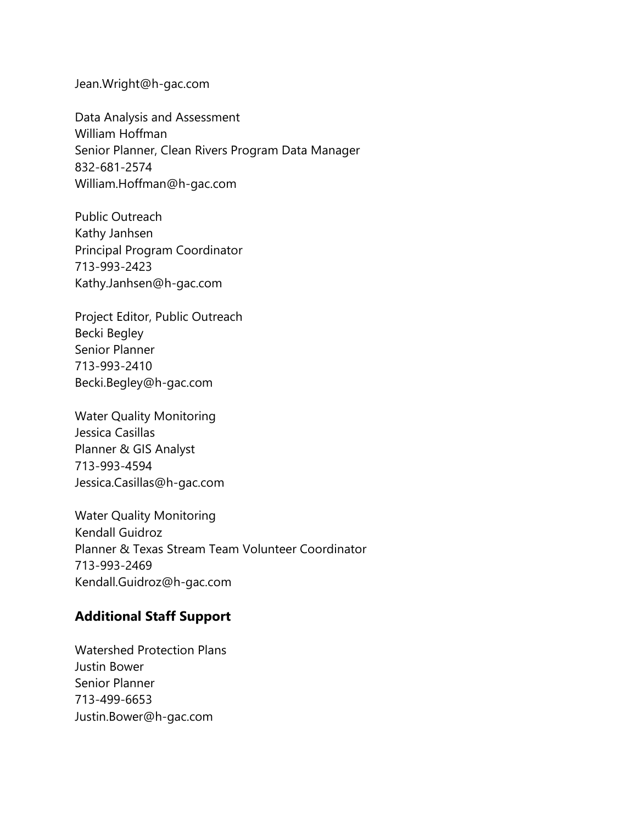Jean.Wright@h-gac.com

Data Analysis and Assessment William Hoffman Senior Planner, Clean Rivers Program Data Manager 832-681-2574 William.Hoffman@h-gac.com

Public Outreach Kathy Janhsen Principal Program Coordinator 713-993-2423 Kathy.Janhsen@h-gac.com

Project Editor, Public Outreach Becki Begley Senior Planner 713-993-2410 Becki.Begley@h-gac.com

Water Quality Monitoring Jessica Casillas Planner & GIS Analyst 713-993-4594 Jessica.Casillas@h-gac.com

Water Quality Monitoring Kendall Guidroz Planner & Texas Stream Team Volunteer Coordinator 713-993-2469 Kendall.Guidroz@h-gac.com

## **Additional Staff Support**

Watershed Protection Plans Justin Bower Senior Planner 713-499-6653 Justin.Bower@h-gac.com